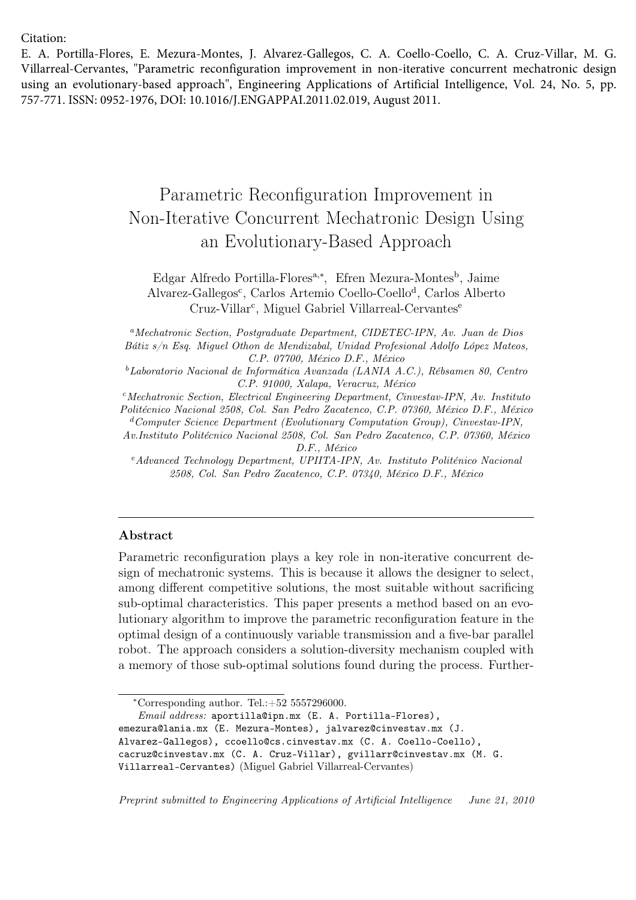Citation:

E. A. Portilla-Flores, E. Mezura-Montes, J. Alvarez-Gallegos, C. A. Coello-Coello, C. A. Cruz-Villar, M. G. Villarreal-Cervantes, "Parametric reconfiguration improvement in non-iterative concurrent mechatronic design using an evolutionary-based approach", Engineering Applications of Artificial Intelligence, Vol. 24, No. 5, pp. 757-771. ISSN: 0952-1976, DOI: 10.1016/J.ENGAPPAI.2011.02.019, August 2011.

# Parametric Reconfiguration Improvement in Non-Iterative Concurrent Mechatronic Design Using an Evolutionary-Based Approach

Edgar Alfredo Portilla-Flores<sup>a,\*</sup>, Efren Mezura-Montes<sup>b</sup>, Jaime Alvarez-Gallegos<sup>c</sup>, Carlos Artemio Coello-Coello<sup>d</sup>, Carlos Alberto Cruz-Villar<sup>c</sup>, Miguel Gabriel Villarreal-Cervantes<sup>e</sup>

<sup>a</sup>Mechatronic Section, Postgraduate Department, CIDETEC-IPN, Av. Juan de Dios Bátiz s/n Esq. Miguel Othon de Mendizabal, Unidad Profesional Adolfo López Mateos, C.P. 07700, México D.F., México

<sup>b</sup>Laboratorio Nacional de Informática Avanzada (LANIA A.C.), Rébsamen 80, Centro C.P. 91000, Xalapa, Veracruz, México

 $c$ Mechatronic Section, Electrical Engineering Department, Cinvestav-IPN, Av. Instituto Politécnico Nacional 2508, Col. San Pedro Zacatenco, C.P. 07360, México D.F., México  $d$ Computer Science Department (Evolutionary Computation Group), Cinvestav-IPN,

Av.Instituto Politécnico Nacional 2508, Col. San Pedro Zacatenco, C.P. 07360, México D.F., México

<sup>e</sup>Advanced Technology Department, UPIITA-IPN, Av. Instituto Politénico Nacional 2508, Col. San Pedro Zacatenco, C.P. 07340, México D.F., México

## Abstract

Parametric reconfiguration plays a key role in non-iterative concurrent design of mechatronic systems. This is because it allows the designer to select, among different competitive solutions, the most suitable without sacrificing sub-optimal characteristics. This paper presents a method based on an evolutionary algorithm to improve the parametric reconfiguration feature in the optimal design of a continuously variable transmission and a five-bar parallel robot. The approach considers a solution-diversity mechanism coupled with a memory of those sub-optimal solutions found during the process. Further-

<sup>∗</sup>Corresponding author. Tel.:+52 5557296000.

Email address: aportilla@ipn.mx (E. A. Portilla-Flores),

emezura@lania.mx (E. Mezura-Montes), jalvarez@cinvestav.mx (J.

Alvarez-Gallegos), ccoello@cs.cinvestav.mx (C. A. Coello-Coello),

cacruz@cinvestav.mx (C. A. Cruz-Villar), gvillarr@cinvestav.mx (M. G.

Villarreal-Cervantes) (Miguel Gabriel Villarreal-Cervantes)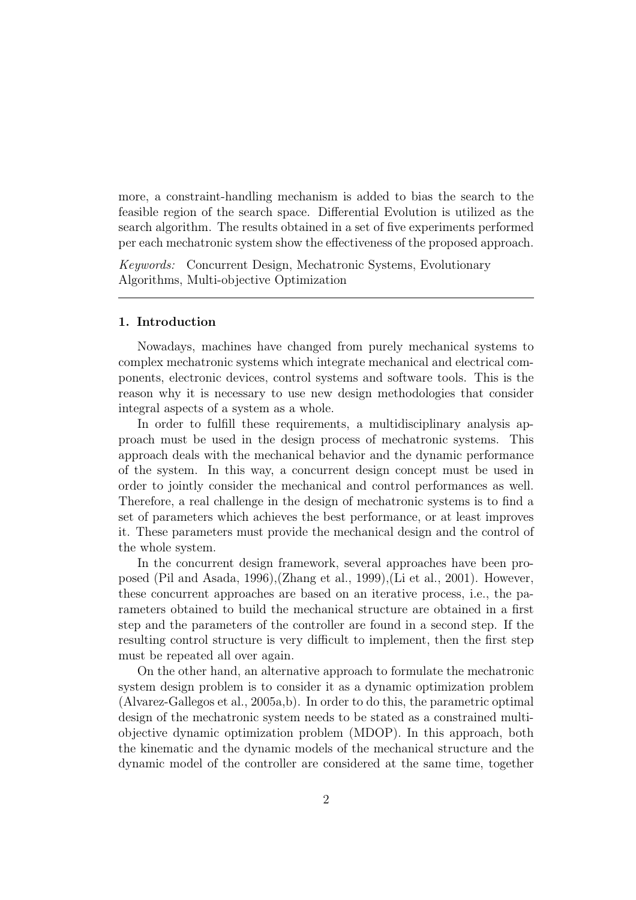more, a constraint-handling mechanism is added to bias the search to the feasible region of the search space. Differential Evolution is utilized as the search algorithm. The results obtained in a set of five experiments performed per each mechatronic system show the effectiveness of the proposed approach.

Keywords: Concurrent Design, Mechatronic Systems, Evolutionary Algorithms, Multi-objective Optimization

## 1. Introduction

Nowadays, machines have changed from purely mechanical systems to complex mechatronic systems which integrate mechanical and electrical components, electronic devices, control systems and software tools. This is the reason why it is necessary to use new design methodologies that consider integral aspects of a system as a whole.

In order to fulfill these requirements, a multidisciplinary analysis approach must be used in the design process of mechatronic systems. This approach deals with the mechanical behavior and the dynamic performance of the system. In this way, a concurrent design concept must be used in order to jointly consider the mechanical and control performances as well. Therefore, a real challenge in the design of mechatronic systems is to find a set of parameters which achieves the best performance, or at least improves it. These parameters must provide the mechanical design and the control of the whole system.

In the concurrent design framework, several approaches have been proposed (Pil and Asada, 1996),(Zhang et al., 1999),(Li et al., 2001). However, these concurrent approaches are based on an iterative process, i.e., the parameters obtained to build the mechanical structure are obtained in a first step and the parameters of the controller are found in a second step. If the resulting control structure is very difficult to implement, then the first step must be repeated all over again.

On the other hand, an alternative approach to formulate the mechatronic system design problem is to consider it as a dynamic optimization problem (Alvarez-Gallegos et al., 2005a,b). In order to do this, the parametric optimal design of the mechatronic system needs to be stated as a constrained multiobjective dynamic optimization problem (MDOP). In this approach, both the kinematic and the dynamic models of the mechanical structure and the dynamic model of the controller are considered at the same time, together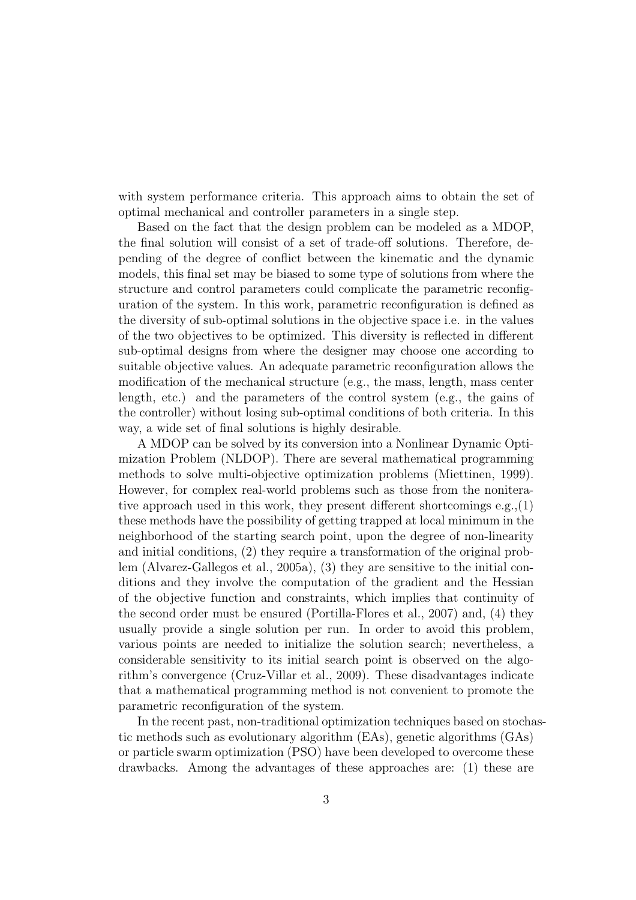with system performance criteria. This approach aims to obtain the set of optimal mechanical and controller parameters in a single step.

Based on the fact that the design problem can be modeled as a MDOP, the final solution will consist of a set of trade-off solutions. Therefore, depending of the degree of conflict between the kinematic and the dynamic models, this final set may be biased to some type of solutions from where the structure and control parameters could complicate the parametric reconfiguration of the system. In this work, parametric reconfiguration is defined as the diversity of sub-optimal solutions in the objective space i.e. in the values of the two objectives to be optimized. This diversity is reflected in different sub-optimal designs from where the designer may choose one according to suitable objective values. An adequate parametric reconfiguration allows the modification of the mechanical structure (e.g., the mass, length, mass center length, etc.) and the parameters of the control system (e.g., the gains of the controller) without losing sub-optimal conditions of both criteria. In this way, a wide set of final solutions is highly desirable.

A MDOP can be solved by its conversion into a Nonlinear Dynamic Optimization Problem (NLDOP). There are several mathematical programming methods to solve multi-objective optimization problems (Miettinen, 1999). However, for complex real-world problems such as those from the noniterative approach used in this work, they present different shortcomings e.g.,(1) these methods have the possibility of getting trapped at local minimum in the neighborhood of the starting search point, upon the degree of non-linearity and initial conditions, (2) they require a transformation of the original problem (Alvarez-Gallegos et al., 2005a), (3) they are sensitive to the initial conditions and they involve the computation of the gradient and the Hessian of the objective function and constraints, which implies that continuity of the second order must be ensured (Portilla-Flores et al., 2007) and, (4) they usually provide a single solution per run. In order to avoid this problem, various points are needed to initialize the solution search; nevertheless, a considerable sensitivity to its initial search point is observed on the algorithm's convergence (Cruz-Villar et al., 2009). These disadvantages indicate that a mathematical programming method is not convenient to promote the parametric reconfiguration of the system.

In the recent past, non-traditional optimization techniques based on stochastic methods such as evolutionary algorithm (EAs), genetic algorithms (GAs) or particle swarm optimization (PSO) have been developed to overcome these drawbacks. Among the advantages of these approaches are: (1) these are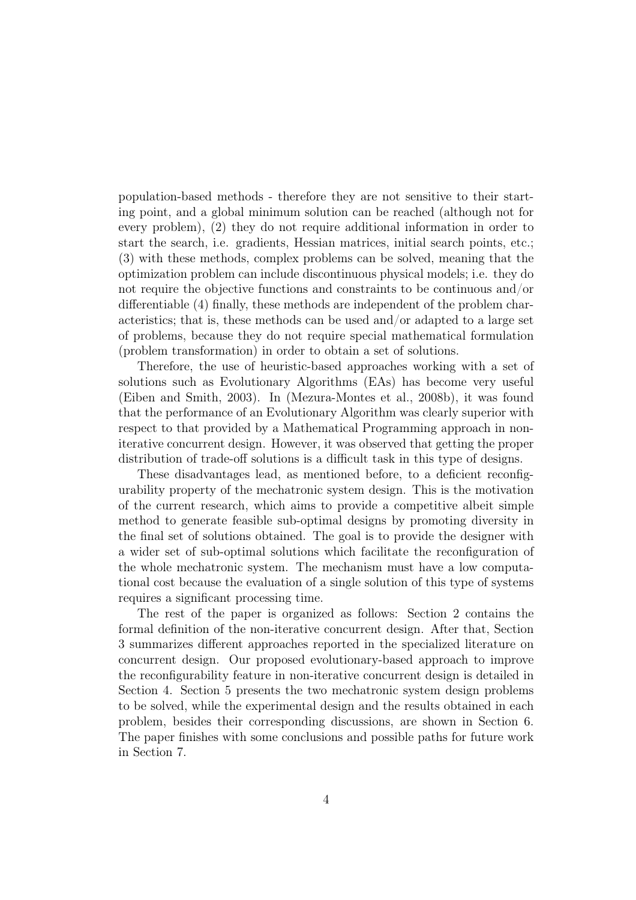population-based methods - therefore they are not sensitive to their starting point, and a global minimum solution can be reached (although not for every problem), (2) they do not require additional information in order to start the search, i.e. gradients, Hessian matrices, initial search points, etc.; (3) with these methods, complex problems can be solved, meaning that the optimization problem can include discontinuous physical models; i.e. they do not require the objective functions and constraints to be continuous and/or differentiable (4) finally, these methods are independent of the problem characteristics; that is, these methods can be used and/or adapted to a large set of problems, because they do not require special mathematical formulation (problem transformation) in order to obtain a set of solutions.

Therefore, the use of heuristic-based approaches working with a set of solutions such as Evolutionary Algorithms (EAs) has become very useful (Eiben and Smith, 2003). In (Mezura-Montes et al., 2008b), it was found that the performance of an Evolutionary Algorithm was clearly superior with respect to that provided by a Mathematical Programming approach in noniterative concurrent design. However, it was observed that getting the proper distribution of trade-off solutions is a difficult task in this type of designs.

These disadvantages lead, as mentioned before, to a deficient reconfigurability property of the mechatronic system design. This is the motivation of the current research, which aims to provide a competitive albeit simple method to generate feasible sub-optimal designs by promoting diversity in the final set of solutions obtained. The goal is to provide the designer with a wider set of sub-optimal solutions which facilitate the reconfiguration of the whole mechatronic system. The mechanism must have a low computational cost because the evaluation of a single solution of this type of systems requires a significant processing time.

The rest of the paper is organized as follows: Section 2 contains the formal definition of the non-iterative concurrent design. After that, Section 3 summarizes different approaches reported in the specialized literature on concurrent design. Our proposed evolutionary-based approach to improve the reconfigurability feature in non-iterative concurrent design is detailed in Section 4. Section 5 presents the two mechatronic system design problems to be solved, while the experimental design and the results obtained in each problem, besides their corresponding discussions, are shown in Section 6. The paper finishes with some conclusions and possible paths for future work in Section 7.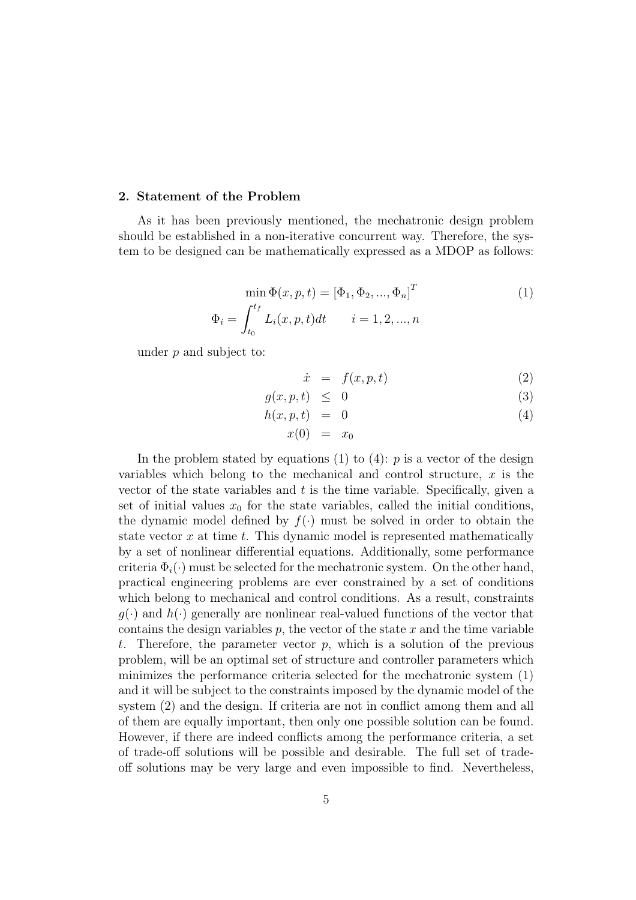## 2. Statement of the Problem

As it has been previously mentioned, the mechatronic design problem should be established in a non-iterative concurrent way. Therefore, the system to be designed can be mathematically expressed as a MDOP as follows:

$$
\min_{\Phi} \Phi(x, p, t) = [\Phi_1, \Phi_2, ..., \Phi_n]^T
$$
\n
$$
\Phi_i = \int_{t_0}^{t_f} L_i(x, p, t) dt \qquad i = 1, 2, ..., n
$$
\n(1)

under  $p$  and subject to:

$$
\dot{x} = f(x, p, t) \tag{2}
$$

$$
g(x, p, t) \leq 0 \tag{3}
$$

$$
h(x, p, t) = 0 \tag{4}
$$

$$
x(0) = x_0
$$

In the problem stated by equations (1) to (4):  $p$  is a vector of the design variables which belong to the mechanical and control structure,  $x$  is the vector of the state variables and t is the time variable. Specifically, given a set of initial values  $x_0$  for the state variables, called the initial conditions, the dynamic model defined by  $f(.)$  must be solved in order to obtain the state vector x at time t. This dynamic model is represented mathematically by a set of nonlinear differential equations. Additionally, some performance criteria  $\Phi_i(\cdot)$  must be selected for the mechatronic system. On the other hand, practical engineering problems are ever constrained by a set of conditions which belong to mechanical and control conditions. As a result, constraints  $q(\cdot)$  and  $h(\cdot)$  generally are nonlinear real-valued functions of the vector that contains the design variables  $p$ , the vector of the state  $x$  and the time variable t. Therefore, the parameter vector  $p$ , which is a solution of the previous problem, will be an optimal set of structure and controller parameters which minimizes the performance criteria selected for the mechatronic system (1) and it will be subject to the constraints imposed by the dynamic model of the system (2) and the design. If criteria are not in conflict among them and all of them are equally important, then only one possible solution can be found. However, if there are indeed conflicts among the performance criteria, a set of trade-off solutions will be possible and desirable. The full set of tradeoff solutions may be very large and even impossible to find. Nevertheless,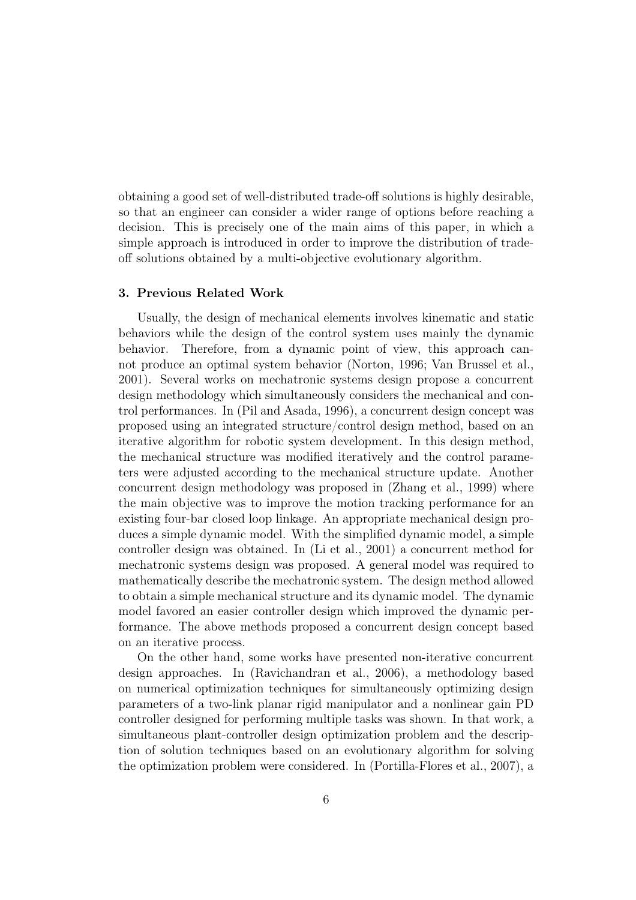obtaining a good set of well-distributed trade-off solutions is highly desirable, so that an engineer can consider a wider range of options before reaching a decision. This is precisely one of the main aims of this paper, in which a simple approach is introduced in order to improve the distribution of tradeoff solutions obtained by a multi-objective evolutionary algorithm.

## 3. Previous Related Work

Usually, the design of mechanical elements involves kinematic and static behaviors while the design of the control system uses mainly the dynamic behavior. Therefore, from a dynamic point of view, this approach cannot produce an optimal system behavior (Norton, 1996; Van Brussel et al., 2001). Several works on mechatronic systems design propose a concurrent design methodology which simultaneously considers the mechanical and control performances. In (Pil and Asada, 1996), a concurrent design concept was proposed using an integrated structure/control design method, based on an iterative algorithm for robotic system development. In this design method, the mechanical structure was modified iteratively and the control parameters were adjusted according to the mechanical structure update. Another concurrent design methodology was proposed in (Zhang et al., 1999) where the main objective was to improve the motion tracking performance for an existing four-bar closed loop linkage. An appropriate mechanical design produces a simple dynamic model. With the simplified dynamic model, a simple controller design was obtained. In (Li et al., 2001) a concurrent method for mechatronic systems design was proposed. A general model was required to mathematically describe the mechatronic system. The design method allowed to obtain a simple mechanical structure and its dynamic model. The dynamic model favored an easier controller design which improved the dynamic performance. The above methods proposed a concurrent design concept based on an iterative process.

On the other hand, some works have presented non-iterative concurrent design approaches. In (Ravichandran et al., 2006), a methodology based on numerical optimization techniques for simultaneously optimizing design parameters of a two-link planar rigid manipulator and a nonlinear gain PD controller designed for performing multiple tasks was shown. In that work, a simultaneous plant-controller design optimization problem and the description of solution techniques based on an evolutionary algorithm for solving the optimization problem were considered. In (Portilla-Flores et al., 2007), a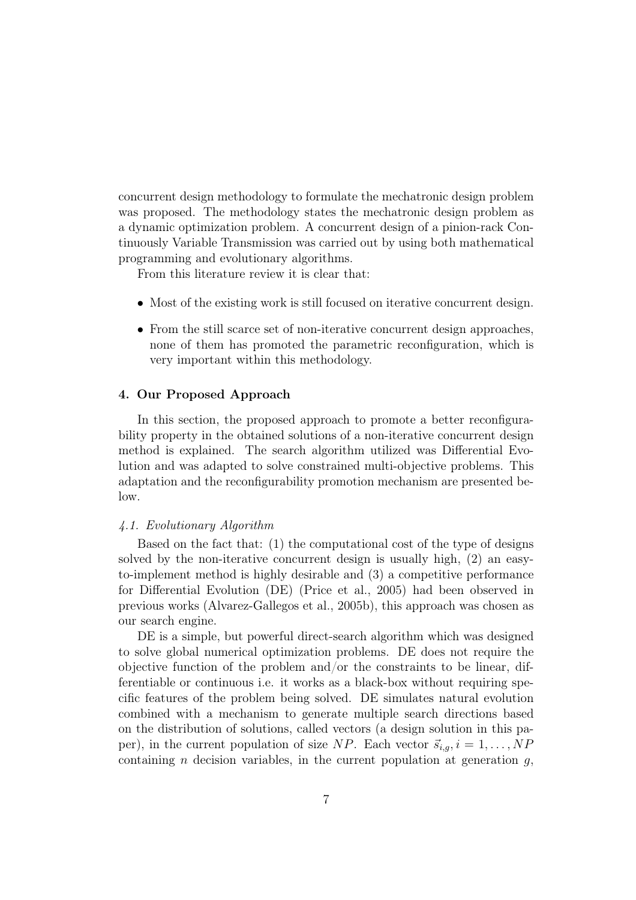concurrent design methodology to formulate the mechatronic design problem was proposed. The methodology states the mechatronic design problem as a dynamic optimization problem. A concurrent design of a pinion-rack Continuously Variable Transmission was carried out by using both mathematical programming and evolutionary algorithms.

From this literature review it is clear that:

- Most of the existing work is still focused on iterative concurrent design.
- From the still scarce set of non-iterative concurrent design approaches, none of them has promoted the parametric reconfiguration, which is very important within this methodology.

### 4. Our Proposed Approach

In this section, the proposed approach to promote a better reconfigurability property in the obtained solutions of a non-iterative concurrent design method is explained. The search algorithm utilized was Differential Evolution and was adapted to solve constrained multi-objective problems. This adaptation and the reconfigurability promotion mechanism are presented below.

## 4.1. Evolutionary Algorithm

Based on the fact that: (1) the computational cost of the type of designs solved by the non-iterative concurrent design is usually high, (2) an easyto-implement method is highly desirable and (3) a competitive performance for Differential Evolution (DE) (Price et al., 2005) had been observed in previous works (Alvarez-Gallegos et al., 2005b), this approach was chosen as our search engine.

DE is a simple, but powerful direct-search algorithm which was designed to solve global numerical optimization problems. DE does not require the objective function of the problem and/or the constraints to be linear, differentiable or continuous i.e. it works as a black-box without requiring specific features of the problem being solved. DE simulates natural evolution combined with a mechanism to generate multiple search directions based on the distribution of solutions, called vectors (a design solution in this paper), in the current population of size NP. Each vector  $\vec{s}_{i,q}$ ,  $i = 1, \ldots, NP$ containing *n* decision variables, in the current population at generation  $q$ ,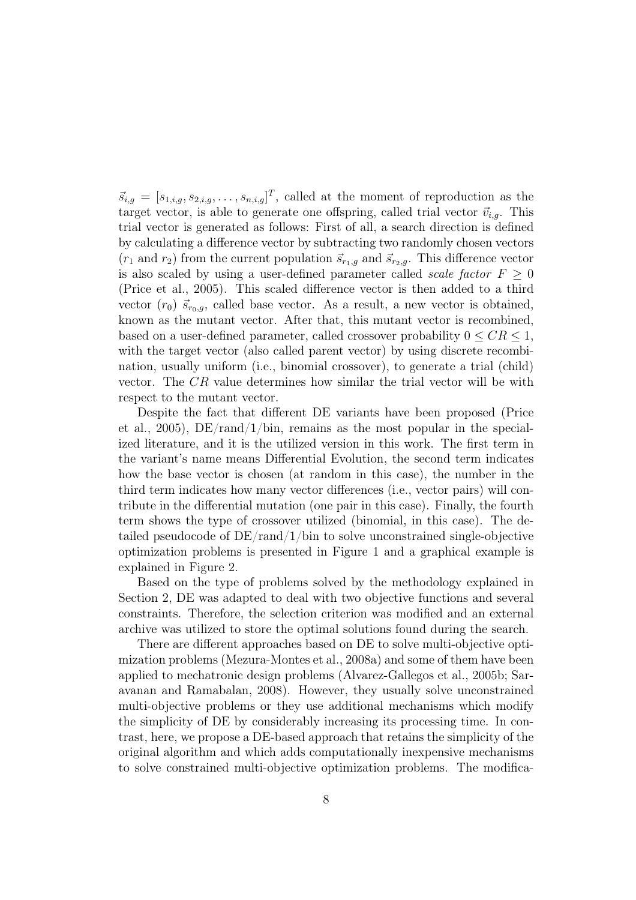$\vec{s}_{i,g} = [s_{1,i,g}, s_{2,i,g}, \ldots, s_{n,i,g}]^T$ , called at the moment of reproduction as the target vector, is able to generate one offspring, called trial vector  $\vec{v}_{i,g}$ . This trial vector is generated as follows: First of all, a search direction is defined by calculating a difference vector by subtracting two randomly chosen vectors  $(r_1$  and  $r_2$ ) from the current population  $\vec{s}_{r_1,g}$  and  $\vec{s}_{r_2,g}$ . This difference vector is also scaled by using a user-defined parameter called *scale factor*  $F \geq 0$ (Price et al., 2005). This scaled difference vector is then added to a third vector  $(r_0)$   $\vec{s}_{r_0,q}$ , called base vector. As a result, a new vector is obtained, known as the mutant vector. After that, this mutant vector is recombined, based on a user-defined parameter, called crossover probability  $0 \leq CR \leq 1$ , with the target vector (also called parent vector) by using discrete recombination, usually uniform (i.e., binomial crossover), to generate a trial (child) vector. The CR value determines how similar the trial vector will be with respect to the mutant vector.

Despite the fact that different DE variants have been proposed (Price et al., 2005),  $DE/rand/1/bin$ , remains as the most popular in the specialized literature, and it is the utilized version in this work. The first term in the variant's name means Differential Evolution, the second term indicates how the base vector is chosen (at random in this case), the number in the third term indicates how many vector differences (i.e., vector pairs) will contribute in the differential mutation (one pair in this case). Finally, the fourth term shows the type of crossover utilized (binomial, in this case). The detailed pseudocode of  $DE/rand/1$ /bin to solve unconstrained single-objective optimization problems is presented in Figure 1 and a graphical example is explained in Figure 2.

Based on the type of problems solved by the methodology explained in Section 2, DE was adapted to deal with two objective functions and several constraints. Therefore, the selection criterion was modified and an external archive was utilized to store the optimal solutions found during the search.

There are different approaches based on DE to solve multi-objective optimization problems (Mezura-Montes et al., 2008a) and some of them have been applied to mechatronic design problems (Alvarez-Gallegos et al., 2005b; Saravanan and Ramabalan, 2008). However, they usually solve unconstrained multi-objective problems or they use additional mechanisms which modify the simplicity of DE by considerably increasing its processing time. In contrast, here, we propose a DE-based approach that retains the simplicity of the original algorithm and which adds computationally inexpensive mechanisms to solve constrained multi-objective optimization problems. The modifica-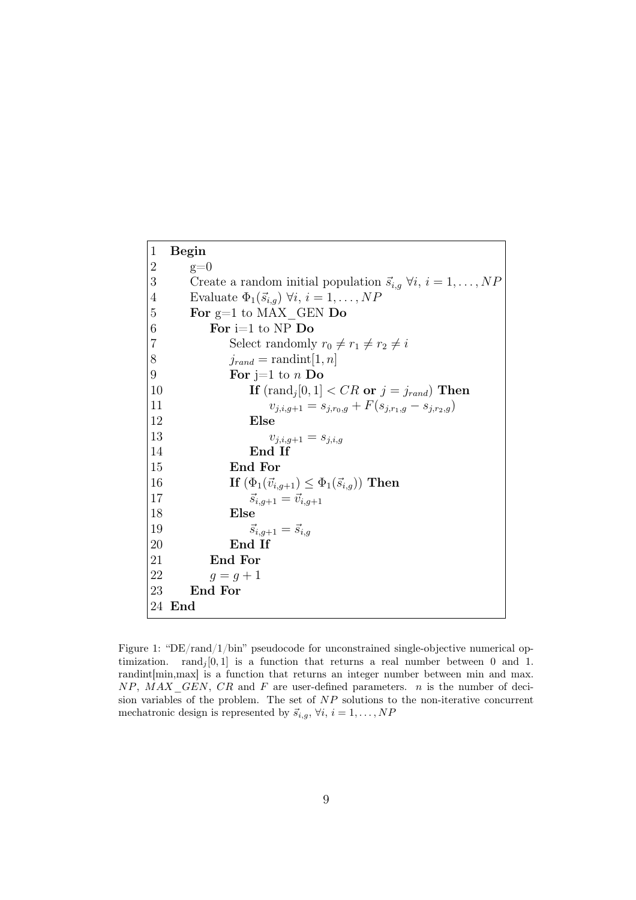1 Begin 2  $g=0$ 3 Create a random initial population  $\vec{s}_{i,g} \forall i, i = 1, ..., NP$ <br>4 Evaluate  $\Phi_1(\vec{s}_{i,g}) \forall i, i = 1, ..., NP$ 4 Evaluate  $\Phi_1(\vec{s}_{i,g}) \forall i, i = 1, ..., NP$ <br>5 For g=1 to MAX GEN Do For  $g=1$  to MAX GEN Do 6 **For** i=1 to NP  $\bf{Do}$ 7<br>Select randomly  $r_0 \neq r_1 \neq r_2 \neq i$ <br> $i_{rand} = \text{randint}[1, n]$ 8  $j_{rand} = \text{randint}[1, n]$ <br>9 **For**  $j=1$  to *n* **Do** For j=1 to  $n$  Do 10 **If**  $(\text{rand}_j[0, 1] < CR$  or  $j = j_{rand}$ ) Then 11  $v_{j,i,g+1} = s_{j,r_0,g} + F(s_{j,r_1,g} - s_{j,r_2,g})$ <br>12 **Else Else** 13  $v_{j,i,g+1} = s_{j,i,g}$ 14 End If 15 End For 16 **If**  $(\Phi_1(\vec{v}_{i,g+1}) \leq \Phi_1(\vec{s}_{i,g}))$  Then<br>  $\vec{s}_{i,g+1} = \vec{v}_{i,g+1}$  $\vec{s}_{i,g+1} = \vec{v}_{i,g+1}$ 18 Else 19  $\vec{s}_{i,g+1} = \vec{s}_{i,g}$ 20 End If 21 End For 22  $g = g + 1$ 23 End For 24 End

Figure 1: "DE/rand/1/bin" pseudocode for unconstrained single-objective numerical optimization. rand,  $[0, 1]$  is a function that returns a real number between 0 and 1. randint[min,max] is a function that returns an integer number between min and max.  $NP$ ,  $MAX$   $GEN$ ,  $CR$  and  $F$  are user-defined parameters. *n* is the number of decision variables of the problem. The set of NP solutions to the non-iterative concurrent mechatronic design is represented by  $\vec{s}_{i,q}$ ,  $\forall i, i = 1, \ldots, NP$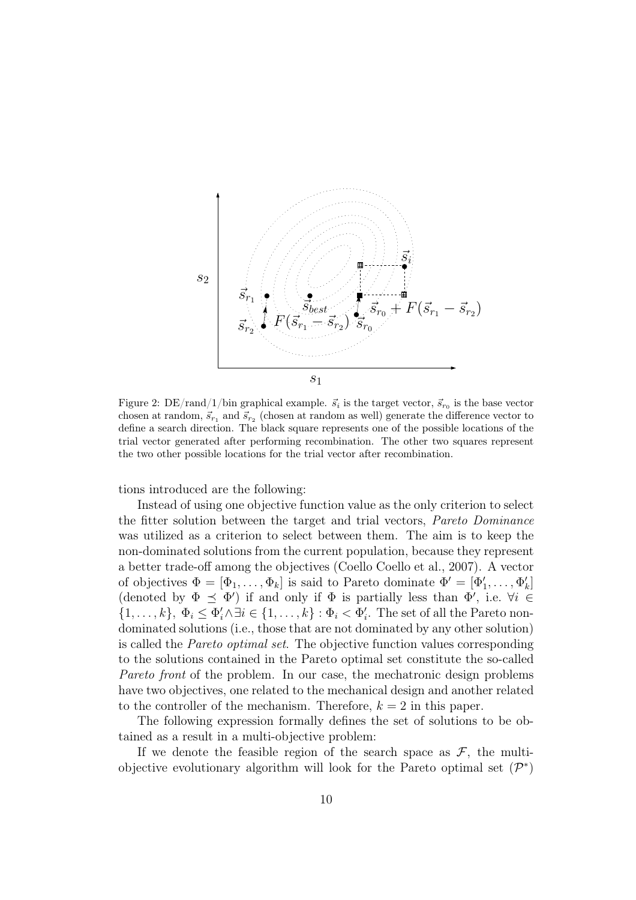

Figure 2: DE/rand/1/bin graphical example.  $\vec{s}_i$  is the target vector,  $\vec{s}_{r_0}$  is the base vector chosen at random,  $\vec{s}_{r_1}$  and  $\vec{s}_{r_2}$  (chosen at random as well) generate the difference vector to define a search direction. The black square represents one of the possible locations of the trial vector generated after performing recombination. The other two squares represent the two other possible locations for the trial vector after recombination.

tions introduced are the following:

Instead of using one objective function value as the only criterion to select the fitter solution between the target and trial vectors, Pareto Dominance was utilized as a criterion to select between them. The aim is to keep the non-dominated solutions from the current population, because they represent a better trade-off among the objectives (Coello Coello et al., 2007). A vector of objectives  $\Phi = [\Phi_1, \dots, \Phi_k]$  is said to Pareto dominate  $\Phi' = [\Phi'_1, \dots, \Phi'_k]$  $(\text{denoted by } \Phi \preceq \Phi')$  if and only if  $\Phi$  is partially less than  $\Phi'$ , i.e.  $\forall i \in$  $\{1,\ldots,k\},\ \Phi_i \leq \Phi_i' \wedge \exists i \in \{1,\ldots,k\} : \Phi_i < \Phi_i'$ . The set of all the Pareto nondominated solutions (i.e., those that are not dominated by any other solution) is called the Pareto optimal set. The objective function values corresponding to the solutions contained in the Pareto optimal set constitute the so-called Pareto front of the problem. In our case, the mechatronic design problems have two objectives, one related to the mechanical design and another related to the controller of the mechanism. Therefore,  $k = 2$  in this paper.

The following expression formally defines the set of solutions to be obtained as a result in a multi-objective problem:

If we denote the feasible region of the search space as  $\mathcal{F}$ , the multiobjective evolutionary algorithm will look for the Pareto optimal set  $(\mathcal{P}^*)$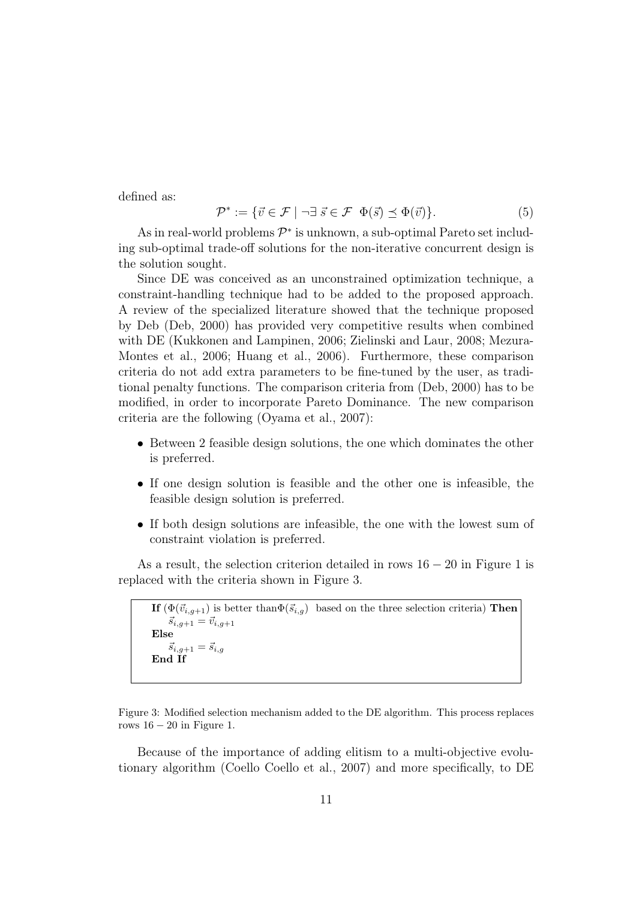defined as:

$$
\mathcal{P}^* := \{ \vec{v} \in \mathcal{F} \mid \neg \exists \ \vec{s} \in \mathcal{F} \ \Phi(\vec{s}) \leq \Phi(\vec{v}) \}. \tag{5}
$$

As in real-world problems  $\mathcal{P}^*$  is unknown, a sub-optimal Pareto set including sub-optimal trade-off solutions for the non-iterative concurrent design is the solution sought.

Since DE was conceived as an unconstrained optimization technique, a constraint-handling technique had to be added to the proposed approach. A review of the specialized literature showed that the technique proposed by Deb (Deb, 2000) has provided very competitive results when combined with DE (Kukkonen and Lampinen, 2006; Zielinski and Laur, 2008; Mezura-Montes et al., 2006; Huang et al., 2006). Furthermore, these comparison criteria do not add extra parameters to be fine-tuned by the user, as traditional penalty functions. The comparison criteria from (Deb, 2000) has to be modified, in order to incorporate Pareto Dominance. The new comparison criteria are the following (Oyama et al., 2007):

- Between 2 feasible design solutions, the one which dominates the other is preferred.
- If one design solution is feasible and the other one is infeasible, the feasible design solution is preferred.
- If both design solutions are infeasible, the one with the lowest sum of constraint violation is preferred.

As a result, the selection criterion detailed in rows  $16 - 20$  in Figure 1 is replaced with the criteria shown in Figure 3.

If  $(\Phi(\vec{v}_{i,g+1})$  is better than $\Phi(\vec{s}_{i,g})$  based on the three selection criteria) Then  $\vec{s}_{i,g+1} = \vec{v}_{i,g+1}$ Else  $\vec{s}_{i,g+1} = \vec{s}_{i,g}$ End If

Figure 3: Modified selection mechanism added to the DE algorithm. This process replaces rows  $16 - 20$  in Figure 1.

Because of the importance of adding elitism to a multi-objective evolutionary algorithm (Coello Coello et al., 2007) and more specifically, to DE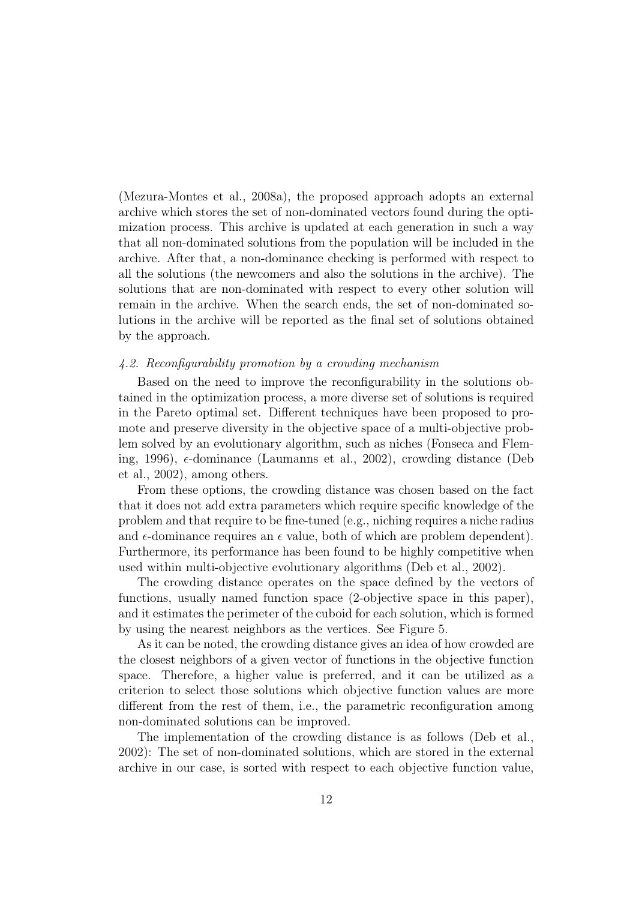(Mezura-Montes et al., 2008a), the proposed approach adopts an external archive which stores the set of non-dominated vectors found during the optimization process. This archive is updated at each generation in such a way that all non-dominated solutions from the population will be included in the archive. After that, a non-dominance checking is performed with respect to all the solutions (the newcomers and also the solutions in the archive). The solutions that are non-dominated with respect to every other solution will remain in the archive. When the search ends, the set of non-dominated solutions in the archive will be reported as the final set of solutions obtained by the approach.

## 4.2. Reconfigurability promotion by a crowding mechanism

Based on the need to improve the reconfigurability in the solutions obtained in the optimization process, a more diverse set of solutions is required in the Pareto optimal set. Different techniques have been proposed to promote and preserve diversity in the objective space of a multi-objective problem solved by an evolutionary algorithm, such as niches (Fonseca and Fleming, 1996),  $\epsilon$ -dominance (Laumanns et al., 2002), crowding distance (Deb et al., 2002), among others.

From these options, the crowding distance was chosen based on the fact that it does not add extra parameters which require specific knowledge of the problem and that require to be fine-tuned (e.g., niching requires a niche radius and  $\epsilon$ -dominance requires an  $\epsilon$  value, both of which are problem dependent). Furthermore, its performance has been found to be highly competitive when used within multi-objective evolutionary algorithms (Deb et al., 2002).

The crowding distance operates on the space defined by the vectors of functions, usually named function space (2-objective space in this paper), and it estimates the perimeter of the cuboid for each solution, which is formed by using the nearest neighbors as the vertices. See Figure 5.

As it can be noted, the crowding distance gives an idea of how crowded are the closest neighbors of a given vector of functions in the objective function space. Therefore, a higher value is preferred, and it can be utilized as a criterion to select those solutions which objective function values are more different from the rest of them, i.e., the parametric reconfiguration among non-dominated solutions can be improved.

The implementation of the crowding distance is as follows (Deb et al., 2002): The set of non-dominated solutions, which are stored in the external archive in our case, is sorted with respect to each objective function value,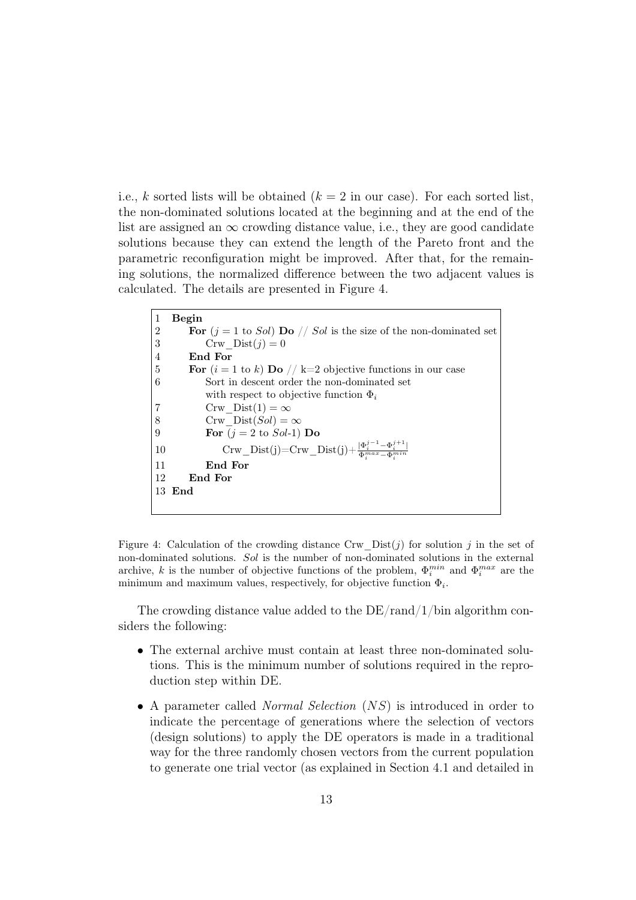i.e., k sorted lists will be obtained  $(k = 2$  in our case). For each sorted list, the non-dominated solutions located at the beginning and at the end of the list are assigned an  $\infty$  crowding distance value, i.e., they are good candidate solutions because they can extend the length of the Pareto front and the parametric reconfiguration might be improved. After that, for the remaining solutions, the normalized difference between the two adjacent values is calculated. The details are presented in Figure 4.

1 Begin 2 **For**  $(i = 1 \text{ to } Sol)$  **Do** // *Sol* is the size of the non-dominated set 3 Crw Dist $(j) = 0$ 4 End For 5 **For**  $(i = 1 \text{ to } k)$  **Do**  $// k=2$  objective functions in our case 6 Sort in descent order the non-dominated set with respect to objective function  $\Phi_i$ 7 Crw\_Dist $(1) = \infty$ <br>8 Crw\_Dist $(Sol) = \infty$ 8 Crw\_Dist(Sol) =  $\infty$ <br>9 For  $(i = 2 \text{ to } Sol-1)$ For  $(j = 2$  to Sol-1) Do 10 Crw\_Dist(j)=Crw\_Dist(j)+ $\frac{|\Phi_i^{j-1} - \Phi_i^{j+1}|}{\Phi_i^{max} - \Phi_i^{min}}$  $\Phi_i^{max} - \Phi_i^{min}$ 11 End For 12 End For 13 End

Figure 4: Calculation of the crowding distance Crw  $Dist(j)$  for solution j in the set of non-dominated solutions. Sol is the number of non-dominated solutions in the external archive, k is the number of objective functions of the problem,  $\Phi_i^{min}$  and  $\Phi_i^{max}$  are the minimum and maximum values, respectively, for objective function  $\Phi_i$ .

The crowding distance value added to the  $DE/rand/1/bin algorithm$ siders the following:

- The external archive must contain at least three non-dominated solutions. This is the minimum number of solutions required in the reproduction step within DE.
- A parameter called *Normal Selection* (NS) is introduced in order to indicate the percentage of generations where the selection of vectors (design solutions) to apply the DE operators is made in a traditional way for the three randomly chosen vectors from the current population to generate one trial vector (as explained in Section 4.1 and detailed in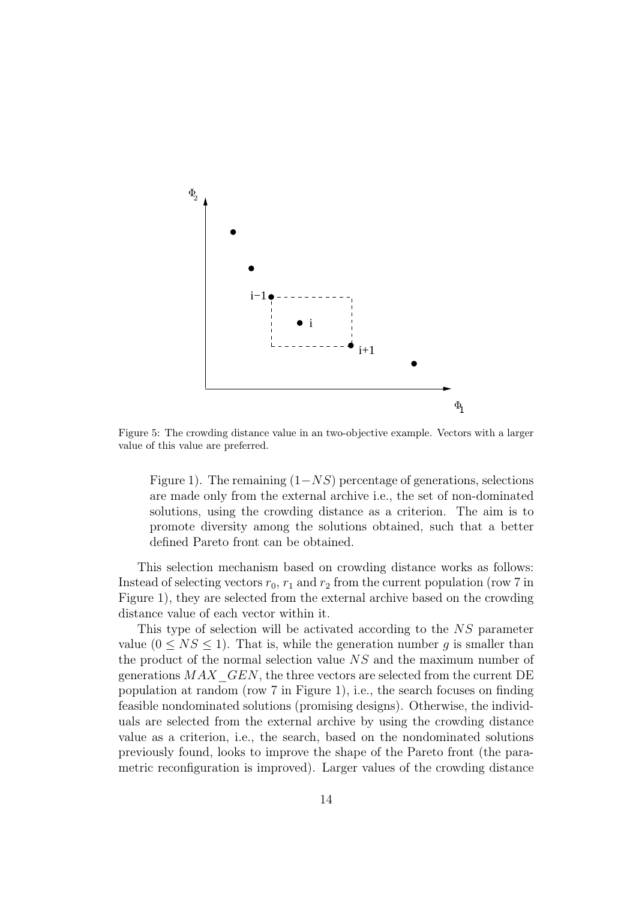

Figure 5: The crowding distance value in an two-objective example. Vectors with a larger value of this value are preferred.

Figure 1). The remaining  $(1-NS)$  percentage of generations, selections are made only from the external archive i.e., the set of non-dominated solutions, using the crowding distance as a criterion. The aim is to promote diversity among the solutions obtained, such that a better defined Pareto front can be obtained.

This selection mechanism based on crowding distance works as follows: Instead of selecting vectors  $r_0$ ,  $r_1$  and  $r_2$  from the current population (row 7 in Figure 1), they are selected from the external archive based on the crowding distance value of each vector within it.

This type of selection will be activated according to the NS parameter value  $(0 \leq NS \leq 1)$ . That is, while the generation number q is smaller than the product of the normal selection value NS and the maximum number of generations  $MAX$   $GEN$ , the three vectors are selected from the current DE population at random (row 7 in Figure 1), i.e., the search focuses on finding feasible nondominated solutions (promising designs). Otherwise, the individuals are selected from the external archive by using the crowding distance value as a criterion, i.e., the search, based on the nondominated solutions previously found, looks to improve the shape of the Pareto front (the parametric reconfiguration is improved). Larger values of the crowding distance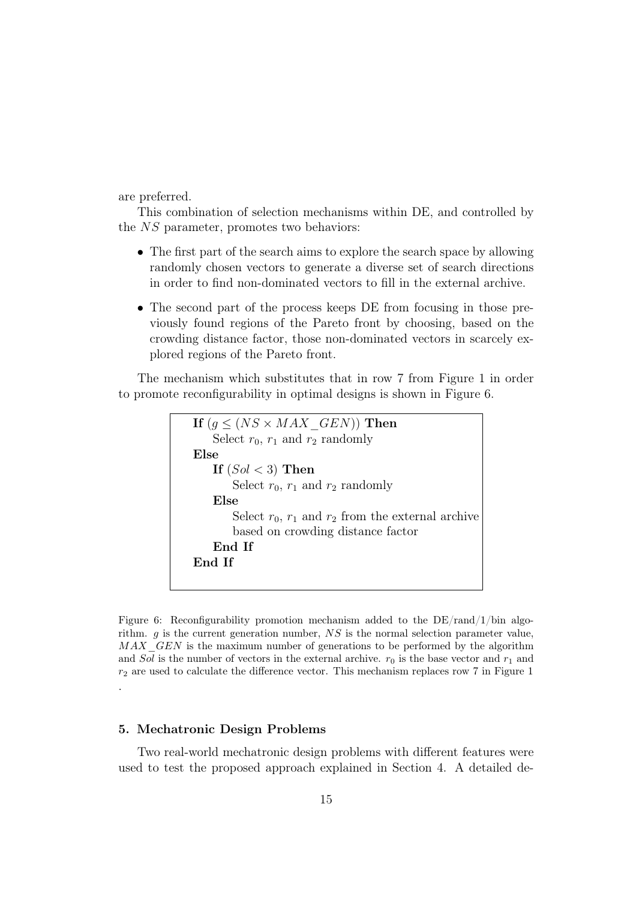are preferred.

This combination of selection mechanisms within DE, and controlled by the NS parameter, promotes two behaviors:

- The first part of the search aims to explore the search space by allowing randomly chosen vectors to generate a diverse set of search directions in order to find non-dominated vectors to fill in the external archive.
- The second part of the process keeps DE from focusing in those previously found regions of the Pareto front by choosing, based on the crowding distance factor, those non-dominated vectors in scarcely explored regions of the Pareto front.

The mechanism which substitutes that in row 7 from Figure 1 in order to promote reconfigurability in optimal designs is shown in Figure 6.

```
If (g \leq (NS \times MAX\_GEN)) Then
   Select r_0, r_1 and r_2 randomly
Else
   If (Sol < 3) Then
       Select r_0, r_1 and r_2 randomly
   Else
       Select r_0, r_1 and r_2 from the external archive
       based on crowding distance factor
   End If
End If
```
Figure 6: Reconfigurability promotion mechanism added to the  $DE/rand/1/bin$  algorithm.  $q$  is the current generation number,  $NS$  is the normal selection parameter value,  $MAX$   $GEN$  is the maximum number of generations to be performed by the algorithm and Sol is the number of vectors in the external archive.  $r_0$  is the base vector and  $r_1$  and  $r<sub>2</sub>$  are used to calculate the difference vector. This mechanism replaces row 7 in Figure 1 .

### 5. Mechatronic Design Problems

Two real-world mechatronic design problems with different features were used to test the proposed approach explained in Section 4. A detailed de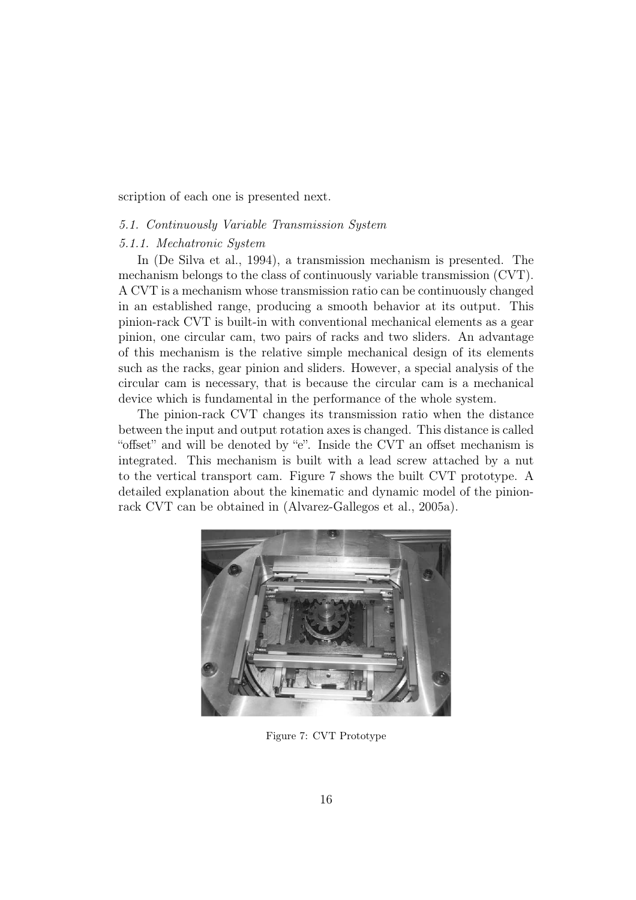scription of each one is presented next.

## 5.1. Continuously Variable Transmission System

#### 5.1.1. Mechatronic System

In (De Silva et al., 1994), a transmission mechanism is presented. The mechanism belongs to the class of continuously variable transmission (CVT). A CVT is a mechanism whose transmission ratio can be continuously changed in an established range, producing a smooth behavior at its output. This pinion-rack CVT is built-in with conventional mechanical elements as a gear pinion, one circular cam, two pairs of racks and two sliders. An advantage of this mechanism is the relative simple mechanical design of its elements such as the racks, gear pinion and sliders. However, a special analysis of the circular cam is necessary, that is because the circular cam is a mechanical device which is fundamental in the performance of the whole system.

The pinion-rack CVT changes its transmission ratio when the distance between the input and output rotation axes is changed. This distance is called "offset" and will be denoted by "e". Inside the CVT an offset mechanism is integrated. This mechanism is built with a lead screw attached by a nut to the vertical transport cam. Figure 7 shows the built CVT prototype. A detailed explanation about the kinematic and dynamic model of the pinionrack CVT can be obtained in (Alvarez-Gallegos et al., 2005a).



Figure 7: CVT Prototype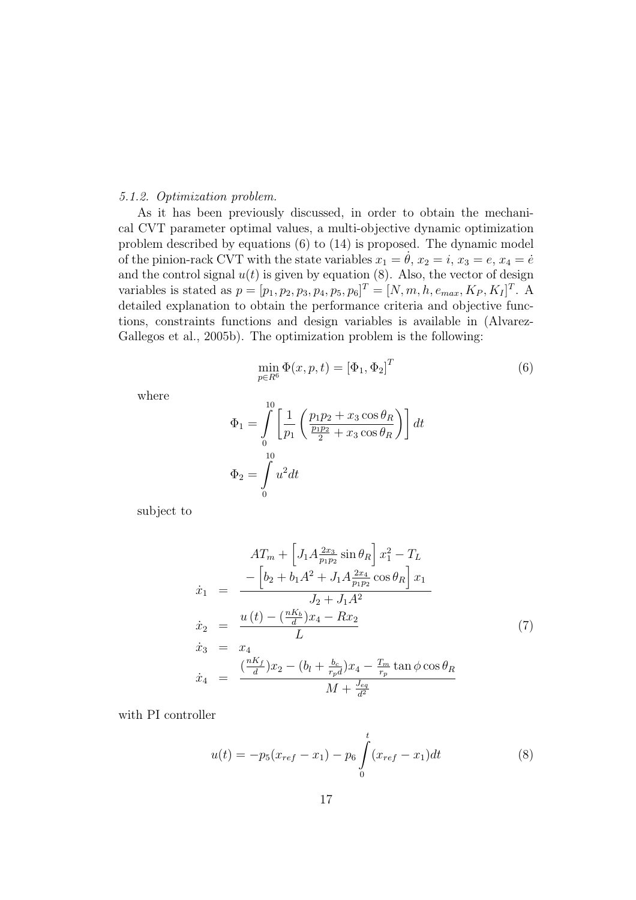## 5.1.2. Optimization problem.

As it has been previously discussed, in order to obtain the mechanical CVT parameter optimal values, a multi-objective dynamic optimization problem described by equations (6) to (14) is proposed. The dynamic model of the pinion-rack CVT with the state variables  $x_1 = \theta$ ,  $x_2 = i$ ,  $x_3 = e$ ,  $x_4 = \dot{e}$ and the control signal  $u(t)$  is given by equation (8). Also, the vector of design variables is stated as  $p = [p_1, p_2, p_3, p_4, p_5, p_6]^T = [N, m, h, e_{max}, K_P, K_I]^T$ . A detailed explanation to obtain the performance criteria and objective functions, constraints functions and design variables is available in (Alvarez-Gallegos et al., 2005b). The optimization problem is the following:

$$
\min_{p \in R^6} \Phi(x, p, t) = [\Phi_1, \Phi_2]^T
$$
\n(6)

where

$$
\Phi_1 = \int_{0}^{10} \left[ \frac{1}{p_1} \left( \frac{p_1 p_2 + x_3 \cos \theta_R}{\frac{p_1 p_2}{2} + x_3 \cos \theta_R} \right) \right] dt
$$
  

$$
\Phi_2 = \int_{0}^{10} u^2 dt
$$

subject to

$$
AT_m + \left[J_1 A \frac{2x_3}{p_1 p_2} \sin \theta_R\right] x_1^2 - T_L
$$
  
\n
$$
\dot{x}_1 = \frac{-\left[b_2 + b_1 A^2 + J_1 A \frac{2x_4}{p_1 p_2} \cos \theta_R\right] x_1}{J_2 + J_1 A^2}
$$
  
\n
$$
\dot{x}_2 = \frac{u(t) - (\frac{nK_b}{d})x_4 - Rx_2}{L}
$$
  
\n
$$
\dot{x}_3 = x_4
$$
  
\n
$$
\dot{x}_4 = \frac{(\frac{nK_f}{d})x_2 - (b_l + \frac{b_c}{r_p d})x_4 - \frac{T_m}{r_p} \tan \phi \cos \theta_R}{M + \frac{J_{eq}}{d^2}}
$$
\n(7)

with PI controller

$$
u(t) = -p_5(x_{ref} - x_1) - p_6 \int_0^t (x_{ref} - x_1) dt
$$
 (8)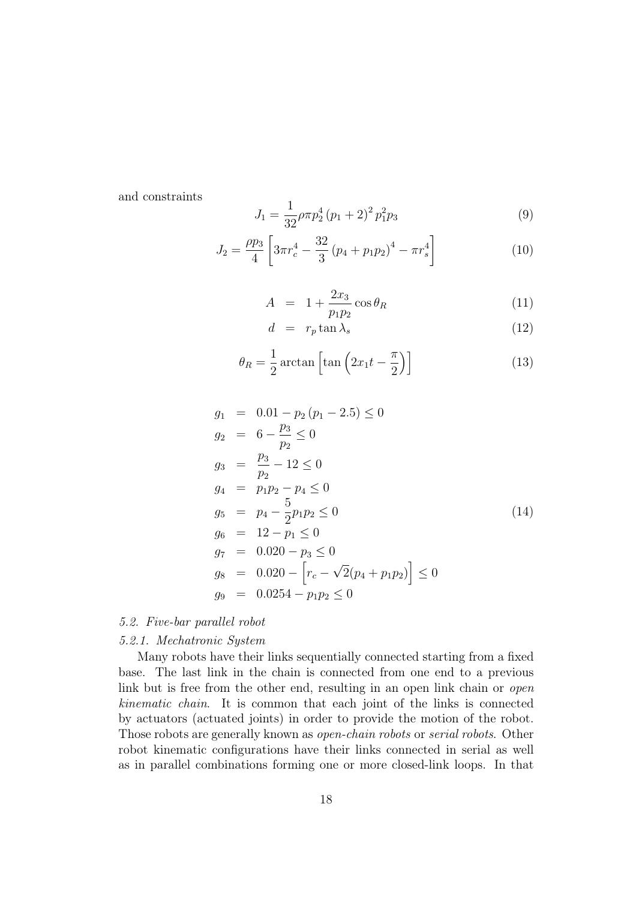and constraints

$$
J_1 = \frac{1}{32} \rho \pi p_2^4 (p_1 + 2)^2 p_1^2 p_3 \tag{9}
$$

$$
J_2 = \frac{\rho p_3}{4} \left[ 3\pi r_c^4 - \frac{32}{3} \left( p_4 + p_1 p_2 \right)^4 - \pi r_s^4 \right] \tag{10}
$$

$$
A = 1 + \frac{2x_3}{p_1 p_2} \cos \theta_R \tag{11}
$$

$$
d = r_p \tan \lambda_s \tag{12}
$$

$$
\theta_R = \frac{1}{2} \arctan \left[ \tan \left( 2x_1 t - \frac{\pi}{2} \right) \right] \tag{13}
$$

$$
g_1 = 0.01 - p_2 (p_1 - 2.5) \le 0
$$
  
\n
$$
g_2 = 6 - \frac{p_3}{p_2} \le 0
$$
  
\n
$$
g_3 = \frac{p_3}{p_2} - 12 \le 0
$$
  
\n
$$
g_4 = p_1 p_2 - p_4 \le 0
$$
  
\n
$$
g_5 = p_4 - \frac{5}{2} p_1 p_2 \le 0
$$
  
\n
$$
g_6 = 12 - p_1 \le 0
$$
  
\n
$$
g_7 = 0.020 - p_3 \le 0
$$
  
\n
$$
g_8 = 0.020 - \left[ r_c - \sqrt{2} (p_4 + p_1 p_2) \right] \le 0
$$
  
\n
$$
g_9 = 0.0254 - p_1 p_2 \le 0
$$
  
\n(14)

## 5.2. Five-bar parallel robot

## 5.2.1. Mechatronic System

Many robots have their links sequentially connected starting from a fixed base. The last link in the chain is connected from one end to a previous link but is free from the other end, resulting in an open link chain or *open* kinematic chain. It is common that each joint of the links is connected by actuators (actuated joints) in order to provide the motion of the robot. Those robots are generally known as open-chain robots or serial robots. Other robot kinematic configurations have their links connected in serial as well as in parallel combinations forming one or more closed-link loops. In that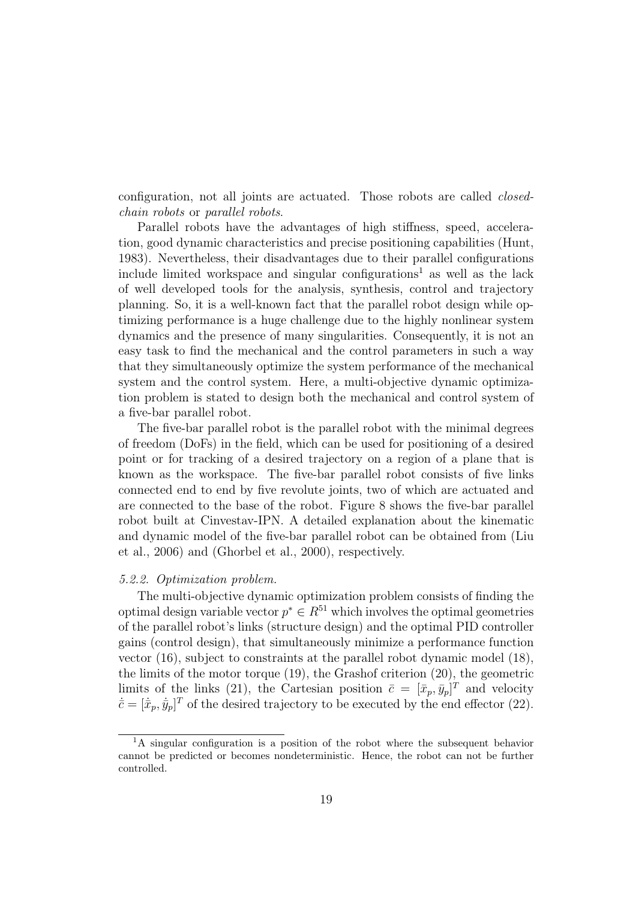configuration, not all joints are actuated. Those robots are called *closed*chain robots or parallel robots.

Parallel robots have the advantages of high stiffness, speed, acceleration, good dynamic characteristics and precise positioning capabilities (Hunt, 1983). Nevertheless, their disadvantages due to their parallel configurations include limited workspace and singular configurations<sup>1</sup> as well as the lack of well developed tools for the analysis, synthesis, control and trajectory planning. So, it is a well-known fact that the parallel robot design while optimizing performance is a huge challenge due to the highly nonlinear system dynamics and the presence of many singularities. Consequently, it is not an easy task to find the mechanical and the control parameters in such a way that they simultaneously optimize the system performance of the mechanical system and the control system. Here, a multi-objective dynamic optimization problem is stated to design both the mechanical and control system of a five-bar parallel robot.

The five-bar parallel robot is the parallel robot with the minimal degrees of freedom (DoFs) in the field, which can be used for positioning of a desired point or for tracking of a desired trajectory on a region of a plane that is known as the workspace. The five-bar parallel robot consists of five links connected end to end by five revolute joints, two of which are actuated and are connected to the base of the robot. Figure 8 shows the five-bar parallel robot built at Cinvestav-IPN. A detailed explanation about the kinematic and dynamic model of the five-bar parallel robot can be obtained from (Liu et al., 2006) and (Ghorbel et al., 2000), respectively.

## 5.2.2. Optimization problem.

The multi-objective dynamic optimization problem consists of finding the optimal design variable vector  $p^* \in R^{51}$  which involves the optimal geometries of the parallel robot's links (structure design) and the optimal PID controller gains (control design), that simultaneously minimize a performance function vector (16), subject to constraints at the parallel robot dynamic model (18), the limits of the motor torque (19), the Grashof criterion (20), the geometric limits of the links (21), the Cartesian position  $\bar{c} = [\bar{x}_p, \bar{y}_p]^T$  and velocity  $\dot{\bar{c}} = [\dot{\bar{x}}_p, \dot{\bar{y}}_p]^T$  of the desired trajectory to be executed by the end effector (22).

<sup>&</sup>lt;sup>1</sup>A singular configuration is a position of the robot where the subsequent behavior cannot be predicted or becomes nondeterministic. Hence, the robot can not be further controlled.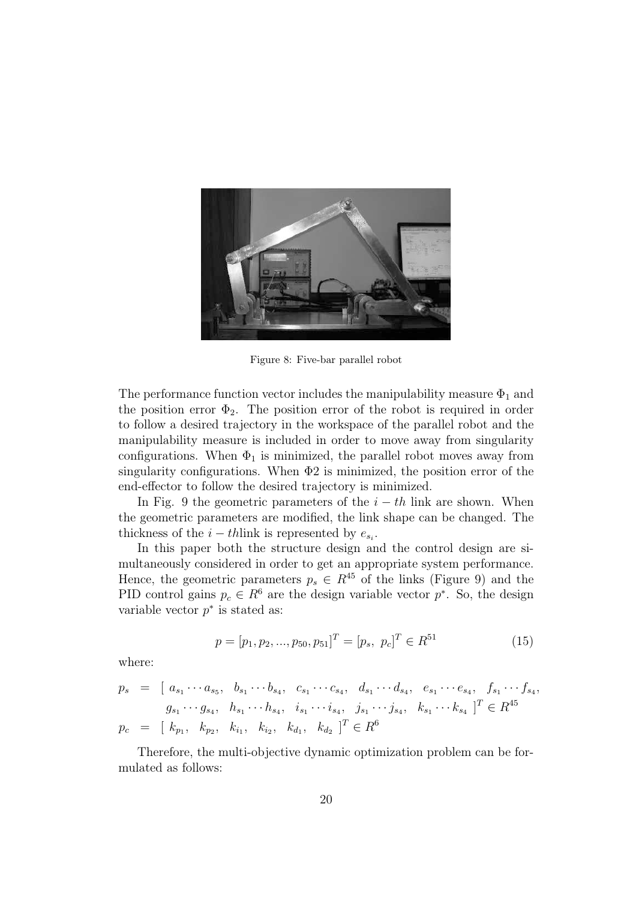

Figure 8: Five-bar parallel robot

The performance function vector includes the manipulability measure  $\Phi_1$  and the position error  $\Phi_2$ . The position error of the robot is required in order to follow a desired trajectory in the workspace of the parallel robot and the manipulability measure is included in order to move away from singularity configurations. When  $\Phi_1$  is minimized, the parallel robot moves away from singularity configurations. When  $\Phi$ 2 is minimized, the position error of the end-effector to follow the desired trajectory is minimized.

In Fig. 9 the geometric parameters of the  $i - th$  link are shown. When the geometric parameters are modified, the link shape can be changed. The thickness of the  $i - th$  link is represented by  $e_{s_i}$ .

In this paper both the structure design and the control design are simultaneously considered in order to get an appropriate system performance. Hence, the geometric parameters  $p_s \in R^{45}$  of the links (Figure 9) and the PID control gains  $p_c \in R^6$  are the design variable vector  $p^*$ . So, the design variable vector  $p^*$  is stated as:

$$
p = [p_1, p_2, ..., p_{50}, p_{51}]^T = [p_s, p_c]^T \in R^{51}
$$
 (15)

where:

$$
p_s = [a_{s_1} \cdots a_{s_5}, b_{s_1} \cdots b_{s_4}, c_{s_1} \cdots c_{s_4}, d_{s_1} \cdots d_{s_4}, e_{s_1} \cdots e_{s_4}, f_{s_1} \cdots f_{s_4},
$$
  
\n
$$
g_{s_1} \cdots g_{s_4}, b_{s_1} \cdots b_{s_4}, i_{s_1} \cdots i_{s_4}, j_{s_1} \cdots j_{s_4}, k_{s_1} \cdots k_{s_4}]^T \in R^{45}
$$
  
\n
$$
p_c = [k_{p_1}, k_{p_2}, k_{i_1}, k_{i_2}, k_{d_1}, k_{d_2}]^T \in R^6
$$

Therefore, the multi-objective dynamic optimization problem can be formulated as follows: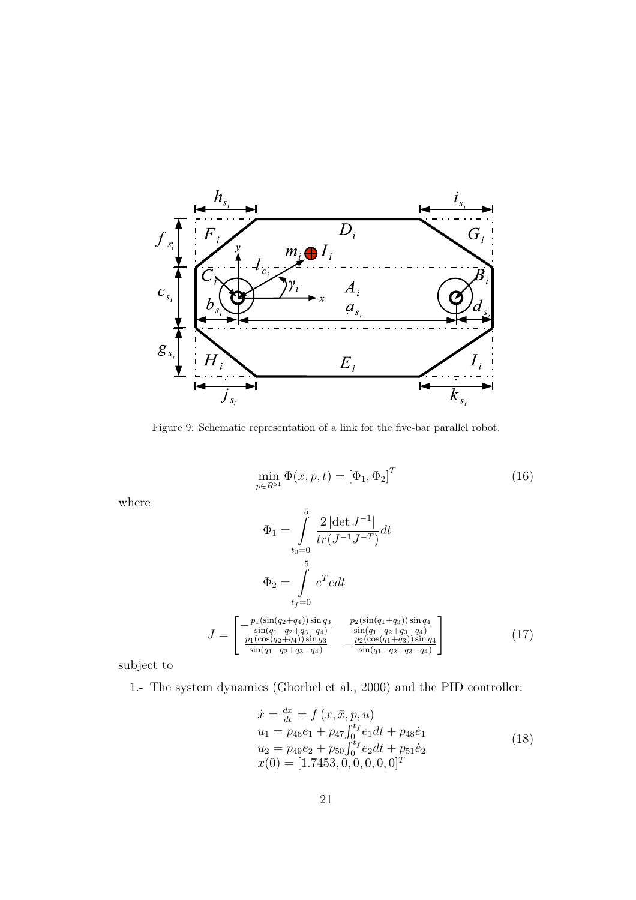

Figure 9: Schematic representation of a link for the five-bar parallel robot.

$$
\min_{p \in R^{51}} \Phi(x, p, t) = [\Phi_1, \Phi_2]^T
$$
\n(16)

where

$$
\Phi_1 = \int_{t_0=0}^5 \frac{2 |\det J^{-1}|}{tr(J^{-1}J^{-T})} dt
$$

$$
\Phi_2 = \int_{t_f=0}^5 e^T e dt
$$

$$
J = \begin{bmatrix} -\frac{p_1(\sin(q_2+q_4))\sin q_3}{\sin(q_1-q_2+q_3-q_4)} & \frac{p_2(\sin(q_1+q_3))\sin q_4}{\sin(q_1-q_2+q_3-q_4)}\\ \frac{p_1(\cos(q_2+q_4))\sin q_3}{\sin(q_1-q_2+q_3-q_4)} & -\frac{p_2(\cos(q_1+q_3))\sin q_4}{\sin(q_1-q_2+q_3-q_4)} \end{bmatrix} (17)
$$

subject to

1.- The system dynamics (Ghorbel et al., 2000) and the PID controller:

$$
\begin{aligned}\n\dot{x} &= \frac{dx}{dt} = f(x, \bar{x}, p, u) \\
u_1 &= p_{46}e_1 + p_{47} \int_0^{t_f} e_1 dt + p_{48} \dot{e}_1 \\
u_2 &= p_{49}e_2 + p_{50} \int_0^{t_f} e_2 dt + p_{51} \dot{e}_2 \\
x(0) &= [1.7453, 0, 0, 0, 0, 0]^T\n\end{aligned} \tag{18}
$$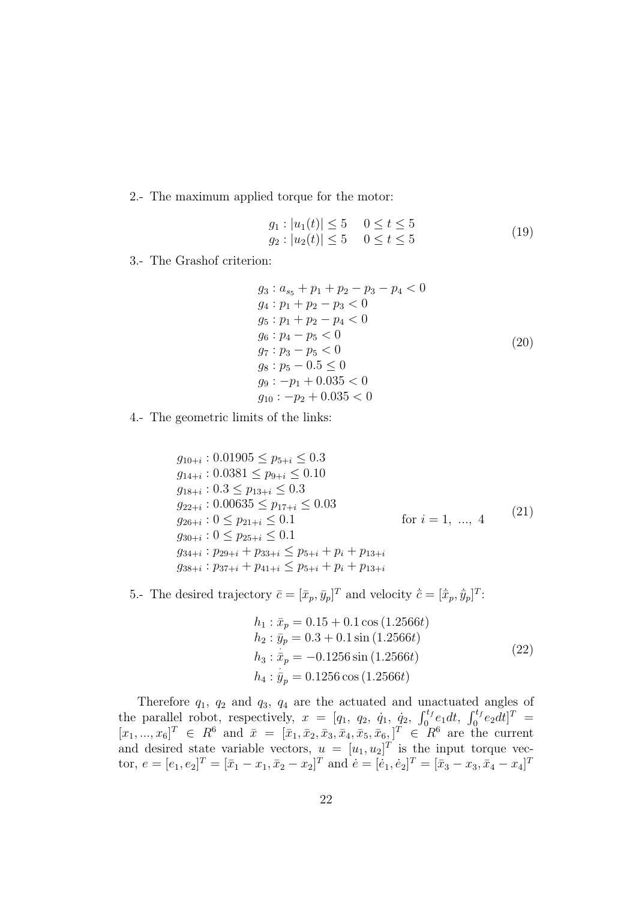2.- The maximum applied torque for the motor:

$$
g_1: |u_1(t)| \le 5 \t 0 \le t \le 5g_2: |u_2(t)| \le 5 \t 0 \le t \le 5
$$
 (19)

3.- The Grashof criterion:

$$
g_3: a_{s_5} + p_1 + p_2 - p_3 - p_4 < 0
$$
  
\n
$$
g_4: p_1 + p_2 - p_3 < 0
$$
  
\n
$$
g_5: p_1 + p_2 - p_4 < 0
$$
  
\n
$$
g_6: p_4 - p_5 < 0
$$
  
\n
$$
g_7: p_3 - p_5 < 0
$$
  
\n
$$
g_8: p_5 - 0.5 \le 0
$$
  
\n
$$
g_9: -p_1 + 0.035 < 0
$$
  
\n
$$
g_{10}: -p_2 + 0.035 < 0
$$

4.- The geometric limits of the links:

$$
g_{10+i}: 0.01905 \le p_{5+i} \le 0.3
$$
  
\n
$$
g_{14+i}: 0.0381 \le p_{9+i} \le 0.10
$$
  
\n
$$
g_{18+i}: 0.3 \le p_{13+i} \le 0.3
$$
  
\n
$$
g_{22+i}: 0.00635 \le p_{17+i} \le 0.03
$$
  
\n
$$
g_{26+i}: 0 \le p_{21+i} \le 0.1
$$
  
\n
$$
g_{30+i}: 0 \le p_{25+i} \le 0.1
$$
  
\n
$$
g_{34+i}: p_{29+i} + p_{33+i} \le p_{5+i} + p_i + p_{13+i}
$$
  
\n
$$
g_{38+i}: p_{37+i} + p_{41+i} \le p_{5+i} + p_i + p_{13+i}
$$
  
\n(21)

5.- The desired trajectory  $\bar{c} = [\bar{x}_p, \bar{y}_p]^T$  and velocity  $\dot{\bar{c}} = [\dot{\bar{x}}_p, \dot{\bar{y}}_p]^T$ :

$$
h_1: \bar{x}_p = 0.15 + 0.1 \cos(1.2566t)
$$
  
\n
$$
h_2: \bar{y}_p = 0.3 + 0.1 \sin(1.2566t)
$$
  
\n
$$
h_3: \bar{x}_p = -0.1256 \sin(1.2566t)
$$
  
\n
$$
h_4: \bar{y}_p = 0.1256 \cos(1.2566t)
$$
\n(22)

Therefore  $q_1$ ,  $q_2$  and  $q_3$ ,  $q_4$  are the actuated and unactuated angles of the parallel robot, respectively,  $x = [q_1, q_2, \dot{q}_1, \dot{q}_2, \int_0^{t_f} e_1 dt, \int_0^{t_f} e_2 dt]^T =$  $[x_1, ..., x_6]^T \in R^6$  and  $\bar{x} = [\bar{x}_1, \bar{x}_2, \bar{x}_3, \bar{x}_4, \bar{x}_5, \bar{x}_6, ]^T \in R^6$  are the current and desired state variable vectors,  $u = [u_1, u_2]^T$  is the input torque vector,  $e = [e_1, e_2]^T = [\bar{x}_1 - x_1, \bar{x}_2 - x_2]^T$  and  $\dot{e} = [\dot{e}_1, \dot{e}_2]^T = [\bar{x}_3 - x_3, \bar{x}_4 - x_4]^T$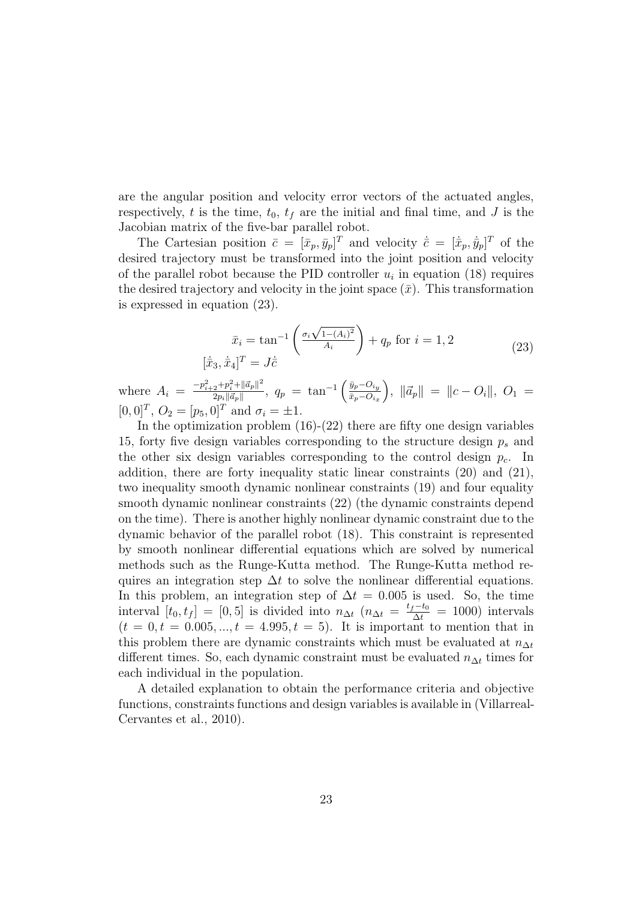are the angular position and velocity error vectors of the actuated angles, respectively, t is the time,  $t_0$ ,  $t_f$  are the initial and final time, and J is the Jacobian matrix of the five-bar parallel robot.

The Cartesian position  $\bar{c} = [\bar{x}_p, \bar{y}_p]^T$  and velocity  $\dot{\bar{c}} = [\dot{\bar{x}}_p, \dot{\bar{y}}_p]^T$  of the desired trajectory must be transformed into the joint position and velocity of the parallel robot because the PID controller  $u_i$  in equation (18) requires the desired trajectory and velocity in the joint space  $(\bar{x})$ . This transformation is expressed in equation (23).

$$
\bar{x}_i = \tan^{-1}\left(\frac{\sigma_i \sqrt{1 - (A_i)^2}}{A_i}\right) + q_p \text{ for } i = 1, 2
$$
\n
$$
[\dot{\bar{x}}_3, \dot{\bar{x}}_4]^T = J\dot{\bar{c}} \tag{23}
$$

where  $A_i = \frac{-p_{i+2}^2 + p_i^2 + ||\vec{a}_p||^2}{2n||\vec{a}_p||}$  $\frac{2^{+}p_{i}^{2}+\|\vec{a}_{p}\|^{2}}{2p_{i}\|\vec{a}_{p}\|},\;q_{p}\;=\;\tan^{-1}\left(\frac{\bar{y}_{p}-O_{i_{y}}}{\bar{x}_{p}-O_{i_{x}}}\right)$  $\bar{x}_p-O_{i_x}$  $\Big),~\|\vec{a}_p\|~=~\|c - O_i\|,~O_1~=~$  $[0, 0]^T$ ,  $O_2 = [p_5, 0]^T$  and  $\sigma_i = \pm 1$ .

In the optimization problem  $(16)-(22)$  there are fifty one design variables 15, forty five design variables corresponding to the structure design  $p_s$  and the other six design variables corresponding to the control design  $p_c$ . In addition, there are forty inequality static linear constraints (20) and (21), two inequality smooth dynamic nonlinear constraints (19) and four equality smooth dynamic nonlinear constraints (22) (the dynamic constraints depend on the time). There is another highly nonlinear dynamic constraint due to the dynamic behavior of the parallel robot (18). This constraint is represented by smooth nonlinear differential equations which are solved by numerical methods such as the Runge-Kutta method. The Runge-Kutta method requires an integration step  $\Delta t$  to solve the nonlinear differential equations. In this problem, an integration step of  $\Delta t = 0.005$  is used. So, the time interval  $[t_0, t_f] = [0, 5]$  is divided into  $n_{\Delta t}$   $(n_{\Delta t} = \frac{t_f - t_0}{\Delta t} = 1000)$  intervals  $(t = 0, t = 0.005, ..., t = 4.995, t = 5)$ . It is important to mention that in this problem there are dynamic constraints which must be evaluated at  $n_{\Delta t}$ different times. So, each dynamic constraint must be evaluated  $n_{\Delta t}$  times for each individual in the population.

A detailed explanation to obtain the performance criteria and objective functions, constraints functions and design variables is available in (Villarreal-Cervantes et al., 2010).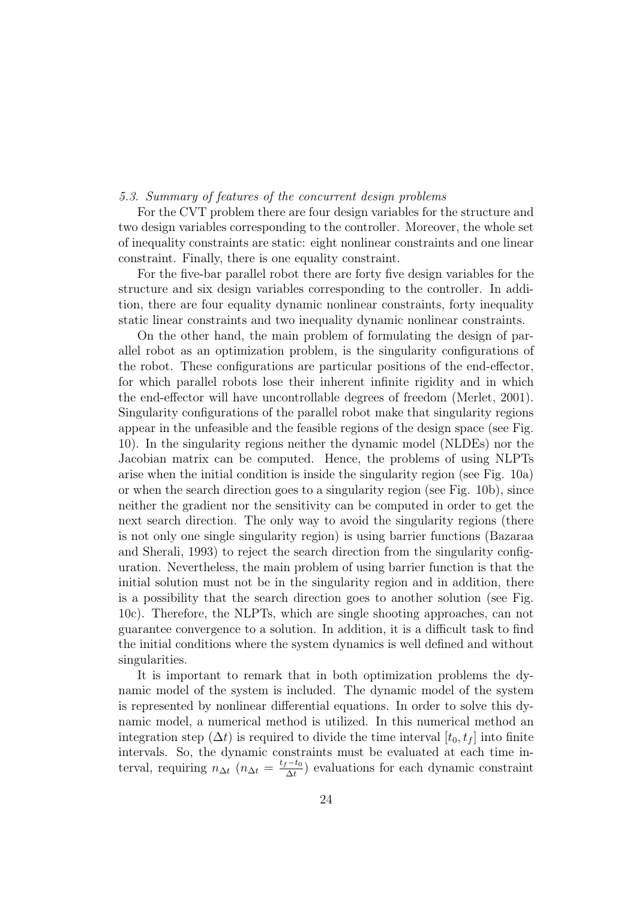## 5.3. Summary of features of the concurrent design problems

For the CVT problem there are four design variables for the structure and two design variables corresponding to the controller. Moreover, the whole set of inequality constraints are static: eight nonlinear constraints and one linear constraint. Finally, there is one equality constraint.

For the five-bar parallel robot there are forty five design variables for the structure and six design variables corresponding to the controller. In addition, there are four equality dynamic nonlinear constraints, forty inequality static linear constraints and two inequality dynamic nonlinear constraints.

On the other hand, the main problem of formulating the design of parallel robot as an optimization problem, is the singularity configurations of the robot. These configurations are particular positions of the end-effector, for which parallel robots lose their inherent infinite rigidity and in which the end-effector will have uncontrollable degrees of freedom (Merlet, 2001). Singularity configurations of the parallel robot make that singularity regions appear in the unfeasible and the feasible regions of the design space (see Fig. 10). In the singularity regions neither the dynamic model (NLDEs) nor the Jacobian matrix can be computed. Hence, the problems of using NLPTs arise when the initial condition is inside the singularity region (see Fig. 10a) or when the search direction goes to a singularity region (see Fig. 10b), since neither the gradient nor the sensitivity can be computed in order to get the next search direction. The only way to avoid the singularity regions (there is not only one single singularity region) is using barrier functions (Bazaraa and Sherali, 1993) to reject the search direction from the singularity configuration. Nevertheless, the main problem of using barrier function is that the initial solution must not be in the singularity region and in addition, there is a possibility that the search direction goes to another solution (see Fig. 10c). Therefore, the NLPTs, which are single shooting approaches, can not guarantee convergence to a solution. In addition, it is a difficult task to find the initial conditions where the system dynamics is well defined and without singularities.

It is important to remark that in both optimization problems the dynamic model of the system is included. The dynamic model of the system is represented by nonlinear differential equations. In order to solve this dynamic model, a numerical method is utilized. In this numerical method an integration step  $(\Delta t)$  is required to divide the time interval  $[t_0, t_f]$  into finite intervals. So, the dynamic constraints must be evaluated at each time interval, requiring  $n_{\Delta t}$   $(n_{\Delta t} = \frac{t_f - t_0}{\Delta t})$  $\frac{a_t - b_0}{\Delta t}$  evaluations for each dynamic constraint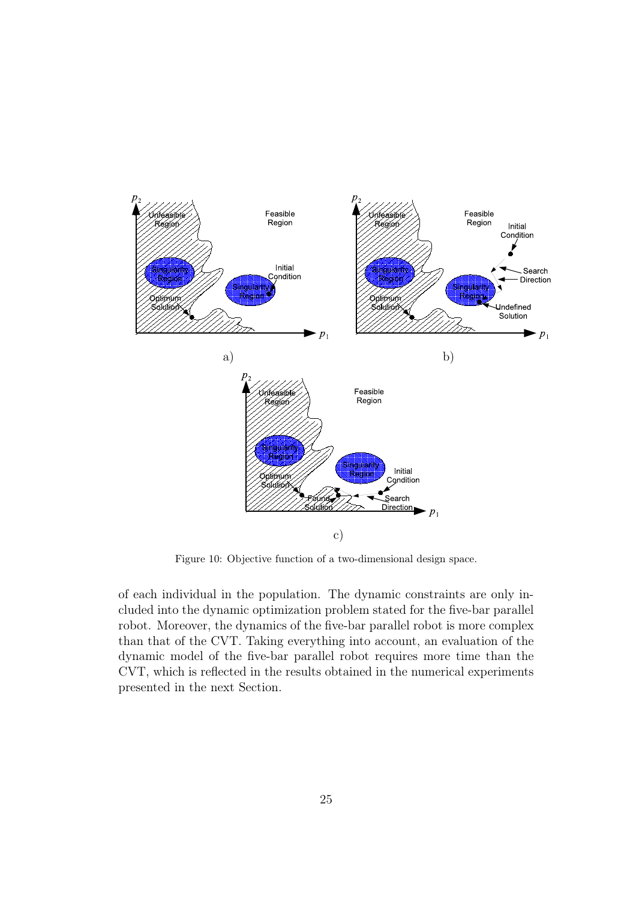

Figure 10: Objective function of a two-dimensional design space.

of each individual in the population. The dynamic constraints are only included into the dynamic optimization problem stated for the five-bar parallel robot. Moreover, the dynamics of the five-bar parallel robot is more complex than that of the CVT. Taking everything into account, an evaluation of the dynamic model of the five-bar parallel robot requires more time than the CVT, which is reflected in the results obtained in the numerical experiments presented in the next Section.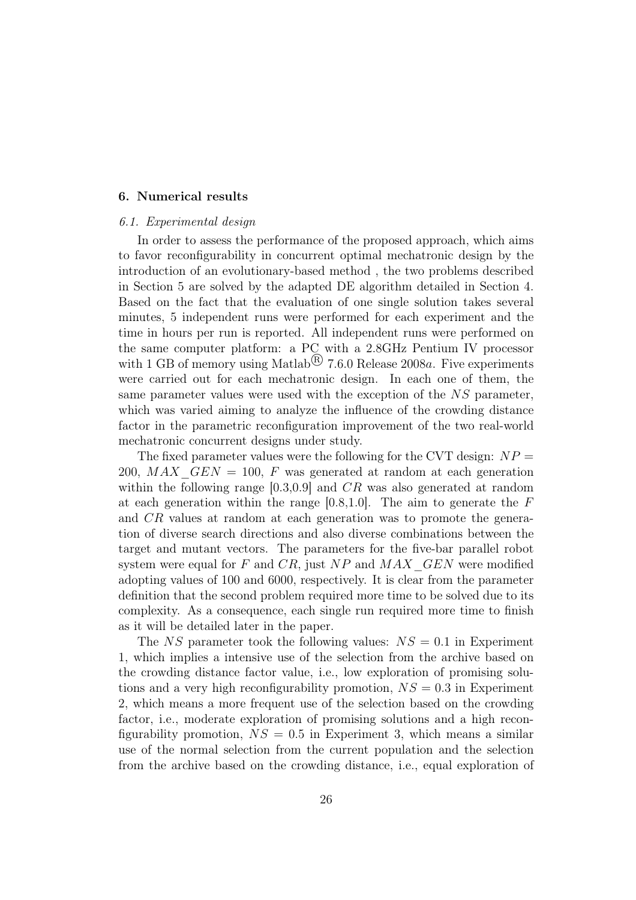# 6. Numerical results

#### 6.1. Experimental design

In order to assess the performance of the proposed approach, which aims to favor reconfigurability in concurrent optimal mechatronic design by the introduction of an evolutionary-based method , the two problems described in Section 5 are solved by the adapted DE algorithm detailed in Section 4. Based on the fact that the evaluation of one single solution takes several minutes, 5 independent runs were performed for each experiment and the time in hours per run is reported. All independent runs were performed on the same computer platform: a PC with a 2.8GHz Pentium IV processor with 1 GB of memory using  $\text{Matlab}^{(R)}$  7.6.0 Release 2008a. Five experiments were carried out for each mechatronic design. In each one of them, the same parameter values were used with the exception of the NS parameter, which was varied aiming to analyze the influence of the crowding distance factor in the parametric reconfiguration improvement of the two real-world mechatronic concurrent designs under study.

The fixed parameter values were the following for the CVT design:  $NP =$ 200,  $MAX\_GEN = 100$ , F was generated at random at each generation within the following range  $[0.3,0.9]$  and CR was also generated at random at each generation within the range  $[0.8,1.0]$ . The aim to generate the F and CR values at random at each generation was to promote the generation of diverse search directions and also diverse combinations between the target and mutant vectors. The parameters for the five-bar parallel robot system were equal for F and  $CR$ , just  $NP$  and  $MAX$   $GEN$  were modified adopting values of 100 and 6000, respectively. It is clear from the parameter definition that the second problem required more time to be solved due to its complexity. As a consequence, each single run required more time to finish as it will be detailed later in the paper.

The NS parameter took the following values:  $NS = 0.1$  in Experiment 1, which implies a intensive use of the selection from the archive based on the crowding distance factor value, i.e., low exploration of promising solutions and a very high reconfigurability promotion,  $NS = 0.3$  in Experiment 2, which means a more frequent use of the selection based on the crowding factor, i.e., moderate exploration of promising solutions and a high reconfigurability promotion,  $NS = 0.5$  in Experiment 3, which means a similar use of the normal selection from the current population and the selection from the archive based on the crowding distance, i.e., equal exploration of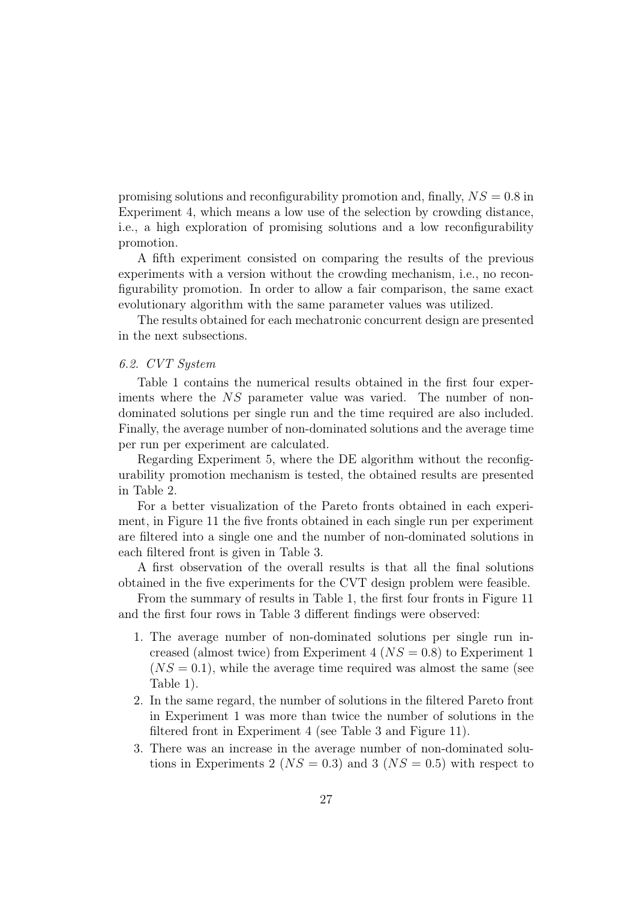promising solutions and reconfigurability promotion and, finally,  $NS = 0.8$  in Experiment 4, which means a low use of the selection by crowding distance, i.e., a high exploration of promising solutions and a low reconfigurability promotion.

A fifth experiment consisted on comparing the results of the previous experiments with a version without the crowding mechanism, i.e., no reconfigurability promotion. In order to allow a fair comparison, the same exact evolutionary algorithm with the same parameter values was utilized.

The results obtained for each mechatronic concurrent design are presented in the next subsections.

## 6.2. CVT System

Table 1 contains the numerical results obtained in the first four experiments where the NS parameter value was varied. The number of nondominated solutions per single run and the time required are also included. Finally, the average number of non-dominated solutions and the average time per run per experiment are calculated.

Regarding Experiment 5, where the DE algorithm without the reconfigurability promotion mechanism is tested, the obtained results are presented in Table 2.

For a better visualization of the Pareto fronts obtained in each experiment, in Figure 11 the five fronts obtained in each single run per experiment are filtered into a single one and the number of non-dominated solutions in each filtered front is given in Table 3.

A first observation of the overall results is that all the final solutions obtained in the five experiments for the CVT design problem were feasible.

From the summary of results in Table 1, the first four fronts in Figure 11 and the first four rows in Table 3 different findings were observed:

- 1. The average number of non-dominated solutions per single run increased (almost twice) from Experiment 4 ( $NS = 0.8$ ) to Experiment 1  $(NS = 0.1)$ , while the average time required was almost the same (see Table 1).
- 2. In the same regard, the number of solutions in the filtered Pareto front in Experiment 1 was more than twice the number of solutions in the filtered front in Experiment 4 (see Table 3 and Figure 11).
- 3. There was an increase in the average number of non-dominated solutions in Experiments 2 ( $NS = 0.3$ ) and 3 ( $NS = 0.5$ ) with respect to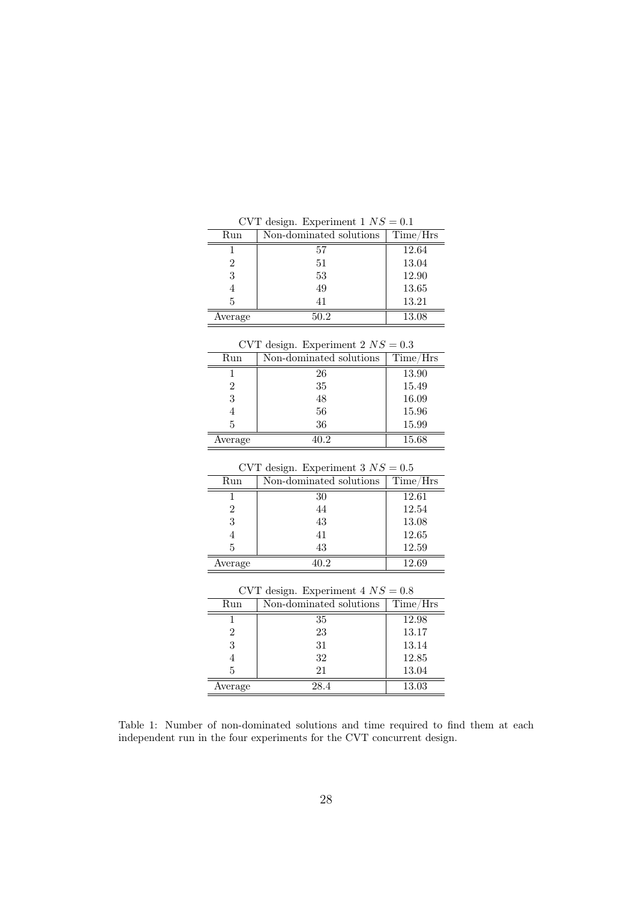| CVT design. Experiment $1 NS = 0.1$ |                                     |                                         |
|-------------------------------------|-------------------------------------|-----------------------------------------|
| $\overline{\text{Run}}$             | Non-dominated solutions             | $\overline{\mathrm{Time}/\mathrm{Hrs}}$ |
| $\mathbf{1}$                        | 57                                  | 12.64                                   |
| $\overline{2}$                      | 51                                  | 13.04                                   |
| 3                                   | 53                                  | 12.90                                   |
| $\overline{4}$                      | 49                                  | 13.65                                   |
| $\overline{5}$                      | 41                                  | 13.21                                   |
| Average                             | $\overline{50.2}$                   | 13.08                                   |
|                                     |                                     |                                         |
|                                     | CVT design. Experiment $2 NS = 0.3$ |                                         |
| $\overline{\text{Run}}$             | Non-dominated solutions             | $\overline{\rm Time}/\rm Hrs$           |
| 1                                   | 26                                  | 13.90                                   |
| $\overline{2}$                      | 35                                  | 15.49                                   |
| 3                                   | 48                                  | 16.09                                   |
| $\overline{4}$                      | 56                                  | 15.96                                   |
| 5                                   | 36<br>15.99                         |                                         |
| Average                             | 40.2<br>15.68                       |                                         |
|                                     | CVT design. Experiment $3 NS = 0.5$ |                                         |
| Run                                 | Non-dominated solutions             | $\overline{\rm Time}/\rm Hrs$           |
| $\mathbf{1}$                        | $\overline{30}$                     | 12.61                                   |
| $\overline{2}$                      | 44<br>12.54                         |                                         |
| $\overline{3}$                      | 43                                  | 13.08                                   |
| $\overline{4}$                      | 41                                  | 12.65                                   |
| 5                                   | 43<br>12.59                         |                                         |
| Average                             | 40.2<br>12.69                       |                                         |
|                                     |                                     |                                         |
| CVT design. Experiment $4NS = 0.8$  |                                     |                                         |
| Run                                 | Non-dominated solutions             | Time/Hrs                                |
| $\mathbf{1}$                        | $\overline{35}$<br>12.98            |                                         |
| $\overline{2}$                      | 23<br>13.17                         |                                         |
| 3                                   | 31<br>13.14                         |                                         |
| $\overline{4}$                      | 32<br>12.85                         |                                         |
| $\overline{5}$                      | 21<br>13.04                         |                                         |
| Average                             | $\overline{28.4}$                   | 13.03                                   |

Table 1: Number of non-dominated solutions and time required to find them at each independent run in the four experiments for the CVT concurrent design.

Ē,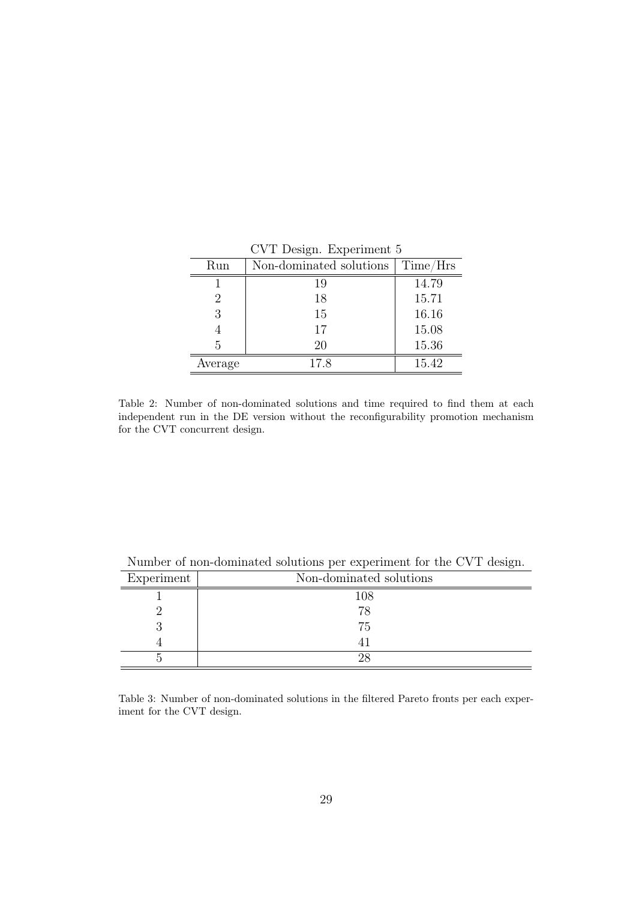| Run     | Non-dominated solutions | Time/Hrs |
|---------|-------------------------|----------|
|         | 19                      | 14.79    |
| 2       | 18                      | 15.71    |
| 3       | 15                      | 16.16    |
|         | 17                      | 15.08    |
| 5       | 20                      | 15.36    |
| Average | 17.8                    | 15.42    |

CVT Design. Experiment 5

Table 2: Number of non-dominated solutions and time required to find them at each independent run in the DE version without the reconfigurability promotion mechanism for the CVT concurrent design.

| Experiment | Non-dominated solutions |
|------------|-------------------------|
|            | $108\,$                 |
|            | 78                      |
|            | 75                      |
|            |                         |
|            |                         |

Number of non-dominated solutions per experiment for the CVT design.

Table 3: Number of non-dominated solutions in the filtered Pareto fronts per each experiment for the CVT design.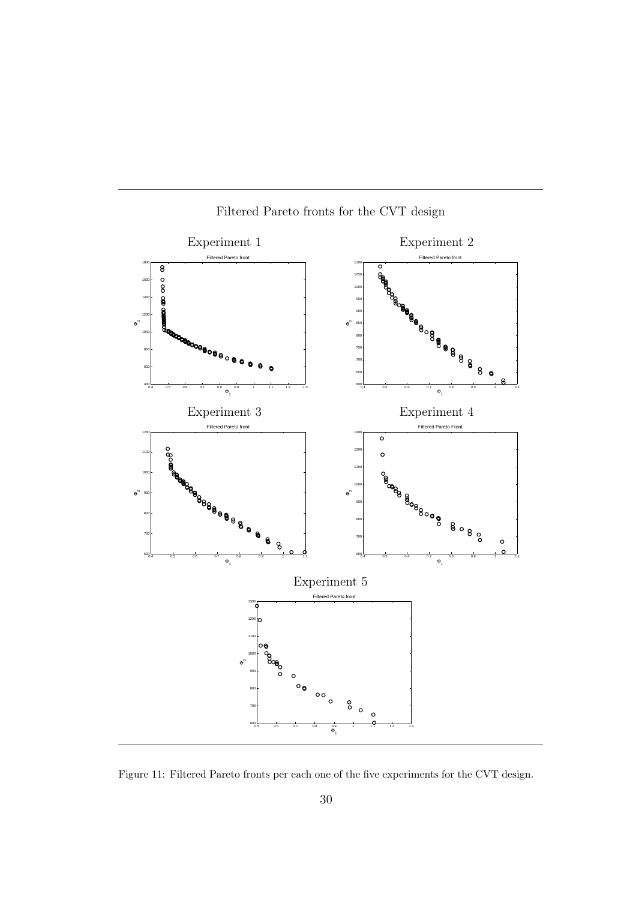

Filtered Pareto fronts for the CVT design

Figure 11: Filtered Pareto fronts per each one of the five experiments for the CVT design.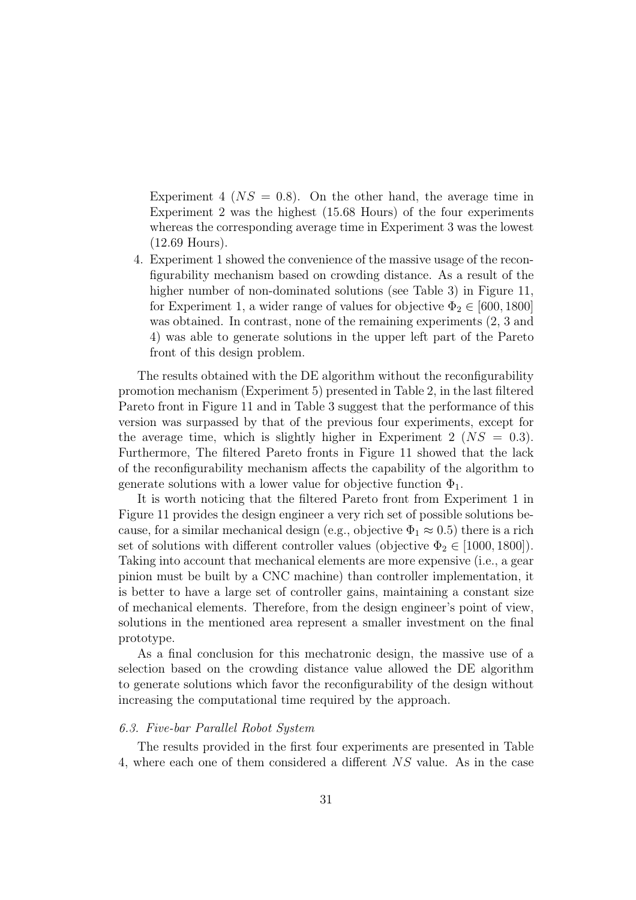Experiment 4 ( $NS = 0.8$ ). On the other hand, the average time in Experiment 2 was the highest (15.68 Hours) of the four experiments whereas the corresponding average time in Experiment 3 was the lowest (12.69 Hours).

4. Experiment 1 showed the convenience of the massive usage of the reconfigurability mechanism based on crowding distance. As a result of the higher number of non-dominated solutions (see Table 3) in Figure 11, for Experiment 1, a wider range of values for objective  $\Phi_2 \in [600, 1800]$ was obtained. In contrast, none of the remaining experiments (2, 3 and 4) was able to generate solutions in the upper left part of the Pareto front of this design problem.

The results obtained with the DE algorithm without the reconfigurability promotion mechanism (Experiment 5) presented in Table 2, in the last filtered Pareto front in Figure 11 and in Table 3 suggest that the performance of this version was surpassed by that of the previous four experiments, except for the average time, which is slightly higher in Experiment 2 ( $NS = 0.3$ ). Furthermore, The filtered Pareto fronts in Figure 11 showed that the lack of the reconfigurability mechanism affects the capability of the algorithm to generate solutions with a lower value for objective function  $\Phi_1$ .

It is worth noticing that the filtered Pareto front from Experiment 1 in Figure 11 provides the design engineer a very rich set of possible solutions because, for a similar mechanical design (e.g., objective  $\Phi_1 \approx 0.5$ ) there is a rich set of solutions with different controller values (objective  $\Phi_2 \in [1000, 1800]$ ). Taking into account that mechanical elements are more expensive (i.e., a gear pinion must be built by a CNC machine) than controller implementation, it is better to have a large set of controller gains, maintaining a constant size of mechanical elements. Therefore, from the design engineer's point of view, solutions in the mentioned area represent a smaller investment on the final prototype.

As a final conclusion for this mechatronic design, the massive use of a selection based on the crowding distance value allowed the DE algorithm to generate solutions which favor the reconfigurability of the design without increasing the computational time required by the approach.

#### 6.3. Five-bar Parallel Robot System

The results provided in the first four experiments are presented in Table 4, where each one of them considered a different NS value. As in the case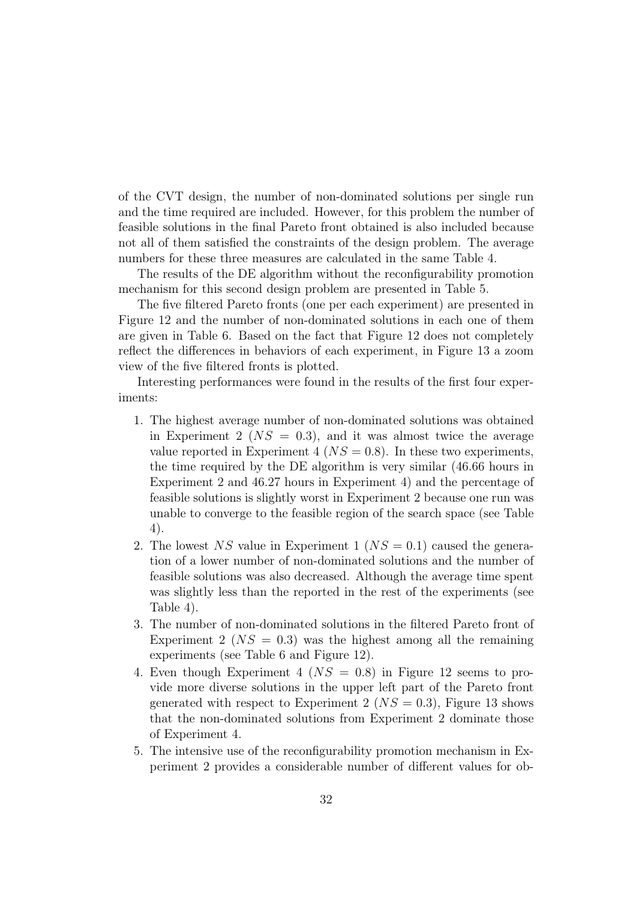of the CVT design, the number of non-dominated solutions per single run and the time required are included. However, for this problem the number of feasible solutions in the final Pareto front obtained is also included because not all of them satisfied the constraints of the design problem. The average numbers for these three measures are calculated in the same Table 4.

The results of the DE algorithm without the reconfigurability promotion mechanism for this second design problem are presented in Table 5.

The five filtered Pareto fronts (one per each experiment) are presented in Figure 12 and the number of non-dominated solutions in each one of them are given in Table 6. Based on the fact that Figure 12 does not completely reflect the differences in behaviors of each experiment, in Figure 13 a zoom view of the five filtered fronts is plotted.

Interesting performances were found in the results of the first four experiments:

- 1. The highest average number of non-dominated solutions was obtained in Experiment 2 ( $NS = 0.3$ ), and it was almost twice the average value reported in Experiment 4 ( $NS = 0.8$ ). In these two experiments, the time required by the DE algorithm is very similar (46.66 hours in Experiment 2 and 46.27 hours in Experiment 4) and the percentage of feasible solutions is slightly worst in Experiment 2 because one run was unable to converge to the feasible region of the search space (see Table 4).
- 2. The lowest NS value in Experiment 1 ( $NS = 0.1$ ) caused the generation of a lower number of non-dominated solutions and the number of feasible solutions was also decreased. Although the average time spent was slightly less than the reported in the rest of the experiments (see Table 4).
- 3. The number of non-dominated solutions in the filtered Pareto front of Experiment 2 ( $NS = 0.3$ ) was the highest among all the remaining experiments (see Table 6 and Figure 12).
- 4. Even though Experiment 4 ( $NS = 0.8$ ) in Figure 12 seems to provide more diverse solutions in the upper left part of the Pareto front generated with respect to Experiment 2 ( $NS = 0.3$ ), Figure 13 shows that the non-dominated solutions from Experiment 2 dominate those of Experiment 4.
- 5. The intensive use of the reconfigurability promotion mechanism in Experiment 2 provides a considerable number of different values for ob-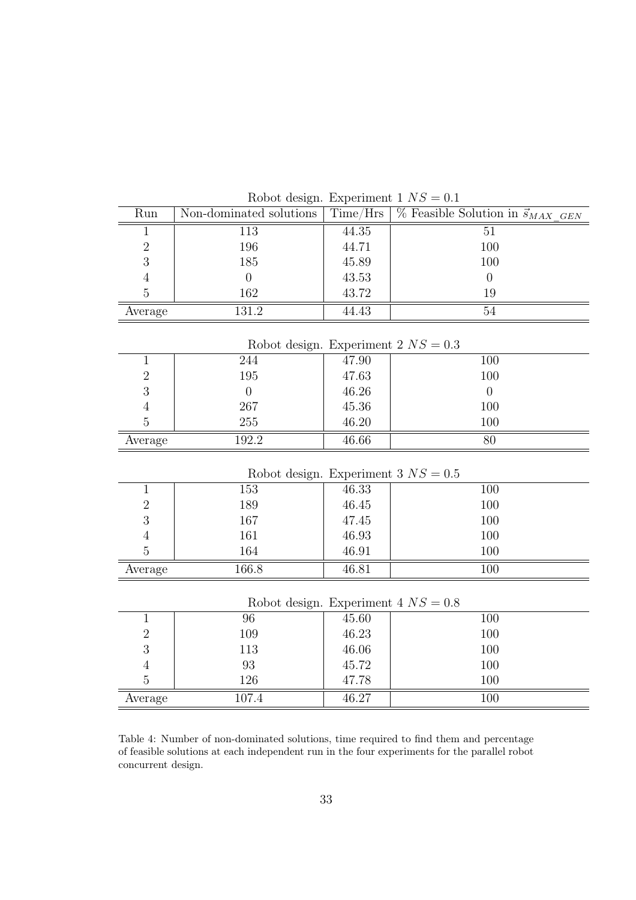| Run            | ---o-<br>Non-dominated solutions      | Time/Hrs | $\%$ Feasible Solution in $\vec{s}_{MAX\_GEN}$ |
|----------------|---------------------------------------|----------|------------------------------------------------|
| $1\,$          | 113                                   | 44.35    | $51\,$                                         |
| $\overline{2}$ | 196                                   | 44.71    | 100                                            |
| 3              | 185                                   | 45.89    | 100                                            |
| $\overline{4}$ | $\boldsymbol{0}$                      | 43.53    | $\boldsymbol{0}$                               |
| $\overline{5}$ | 162                                   | 43.72    | 19                                             |
| Average        | 131.2                                 | 44.43    | $54\,$                                         |
|                |                                       |          |                                                |
|                | Robot design. Experiment $2 NS = 0.3$ |          |                                                |
| $\mathbf 1$    | 244                                   | 47.90    | 100                                            |
| $\overline{2}$ | 195                                   | 47.63    | 100                                            |
| 3              | $\overline{0}$                        | 46.26    | $\overline{0}$                                 |
| $\overline{4}$ | 267                                   | 45.36    | 100                                            |
| $\overline{5}$ | 255                                   | 46.20    | 100                                            |
| Average        | 192.2                                 | 46.66    | 80                                             |
|                | Robot design. Experiment 3 $NS = 0.5$ |          |                                                |
| $\mathbf{1}$   | 153                                   | 46.33    | 100                                            |
| $\overline{2}$ | 189                                   | 46.45    | 100                                            |
| 3              | 167                                   | 47.45    | 100                                            |
| $\overline{4}$ | 161                                   | 46.93    | 100                                            |
| 5              | 164                                   | 46.91    | 100                                            |
| Average        | 166.8                                 | 46.81    | 100                                            |
|                |                                       |          |                                                |
|                | Robot design. Experiment $4 NS = 0.8$ |          |                                                |
| $\mathbf 1$    | 96                                    | 45.60    | 100                                            |
| $\overline{2}$ | 109                                   | 46.23    | 100                                            |
| 3              | 113                                   | 46.06    | 100                                            |
| $\overline{4}$ | 93                                    | 45.72    | 100                                            |
| 5              | 126                                   | 47.78    | 100                                            |
| Average        | 107.4                                 | 46.27    | 100                                            |

Robot design. Experiment 1  $NS = 0.1$ 

Table 4: Number of non-dominated solutions, time required to find them and percentage of feasible solutions at each independent run in the four experiments for the parallel robot concurrent design.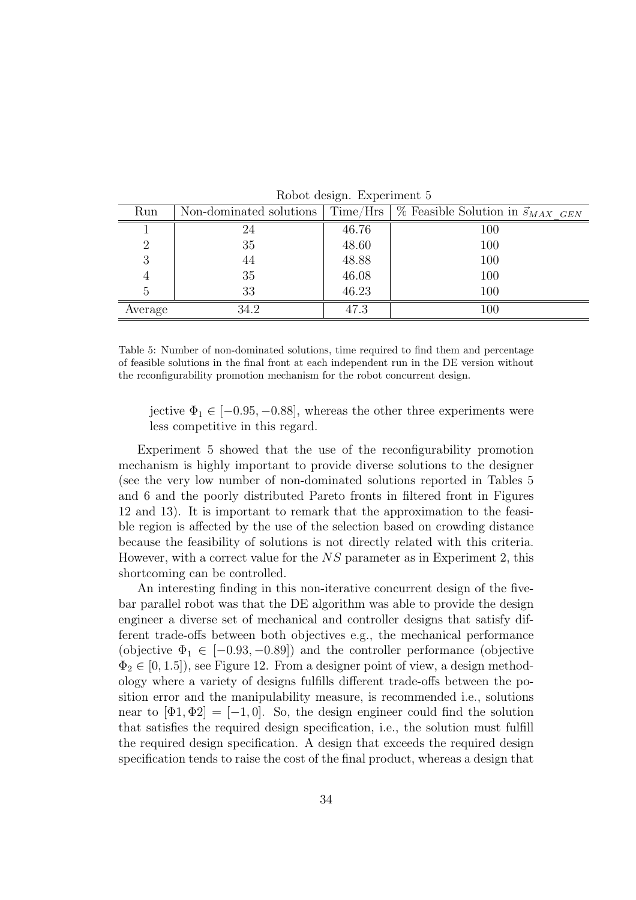|         |                         | rossor acorga. Buperment o |                                                        |
|---------|-------------------------|----------------------------|--------------------------------------------------------|
| Run     | Non-dominated solutions | Time/Hrs                   | $\frac{1}{2}$ Feasible Solution in $\vec{s}_{MAX}$ GEN |
|         | 24                      | 46.76                      | 100                                                    |
| 2       | 35                      | 48.60                      | 100                                                    |
| 3       | 44                      | 48.88                      | 100                                                    |
| 4       | 35                      | 46.08                      | 100                                                    |
| 5       | 33                      | 46.23                      | 100                                                    |
| Average | 34.2                    | 47.3                       | 100                                                    |

Robot design. Experiment 5

Table 5: Number of non-dominated solutions, time required to find them and percentage of feasible solutions in the final front at each independent run in the DE version without the reconfigurability promotion mechanism for the robot concurrent design.

jective  $\Phi_1 \in [-0.95, -0.88]$ , whereas the other three experiments were less competitive in this regard.

Experiment 5 showed that the use of the reconfigurability promotion mechanism is highly important to provide diverse solutions to the designer (see the very low number of non-dominated solutions reported in Tables 5 and 6 and the poorly distributed Pareto fronts in filtered front in Figures 12 and 13). It is important to remark that the approximation to the feasible region is affected by the use of the selection based on crowding distance because the feasibility of solutions is not directly related with this criteria. However, with a correct value for the NS parameter as in Experiment 2, this shortcoming can be controlled.

An interesting finding in this non-iterative concurrent design of the fivebar parallel robot was that the DE algorithm was able to provide the design engineer a diverse set of mechanical and controller designs that satisfy different trade-offs between both objectives e.g., the mechanical performance (objective  $\Phi_1 \in [-0.93, -0.89]$ ) and the controller performance (objective  $\Phi_2 \in [0, 1.5]$ , see Figure 12. From a designer point of view, a design methodology where a variety of designs fulfills different trade-offs between the position error and the manipulability measure, is recommended i.e., solutions near to  $[\Phi 1, \Phi 2] = [-1, 0]$ . So, the design engineer could find the solution that satisfies the required design specification, i.e., the solution must fulfill the required design specification. A design that exceeds the required design specification tends to raise the cost of the final product, whereas a design that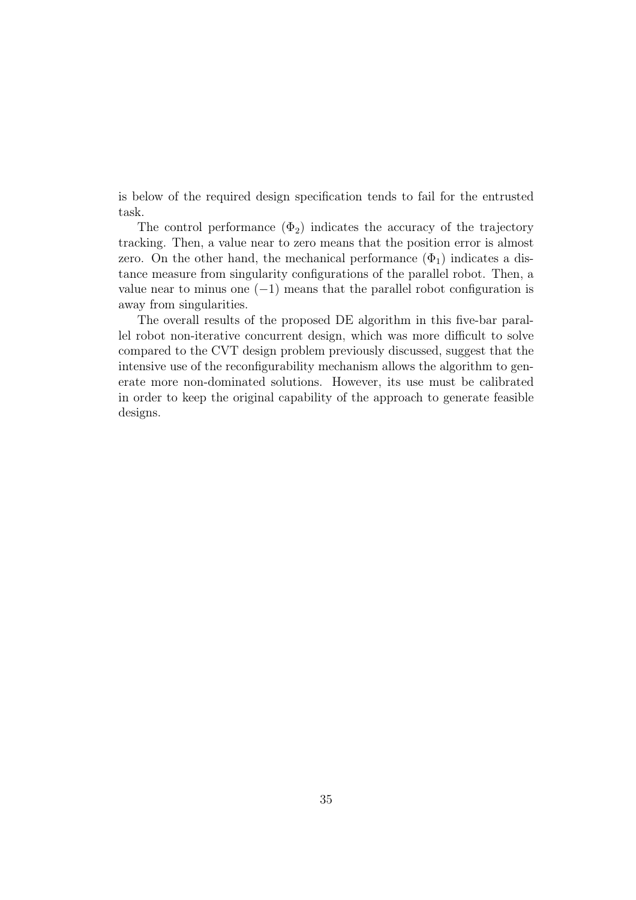is below of the required design specification tends to fail for the entrusted task.

The control performance  $(\Phi_2)$  indicates the accuracy of the trajectory tracking. Then, a value near to zero means that the position error is almost zero. On the other hand, the mechanical performance  $(\Phi_1)$  indicates a distance measure from singularity configurations of the parallel robot. Then, a value near to minus one  $(-1)$  means that the parallel robot configuration is away from singularities.

The overall results of the proposed DE algorithm in this five-bar parallel robot non-iterative concurrent design, which was more difficult to solve compared to the CVT design problem previously discussed, suggest that the intensive use of the reconfigurability mechanism allows the algorithm to generate more non-dominated solutions. However, its use must be calibrated in order to keep the original capability of the approach to generate feasible designs.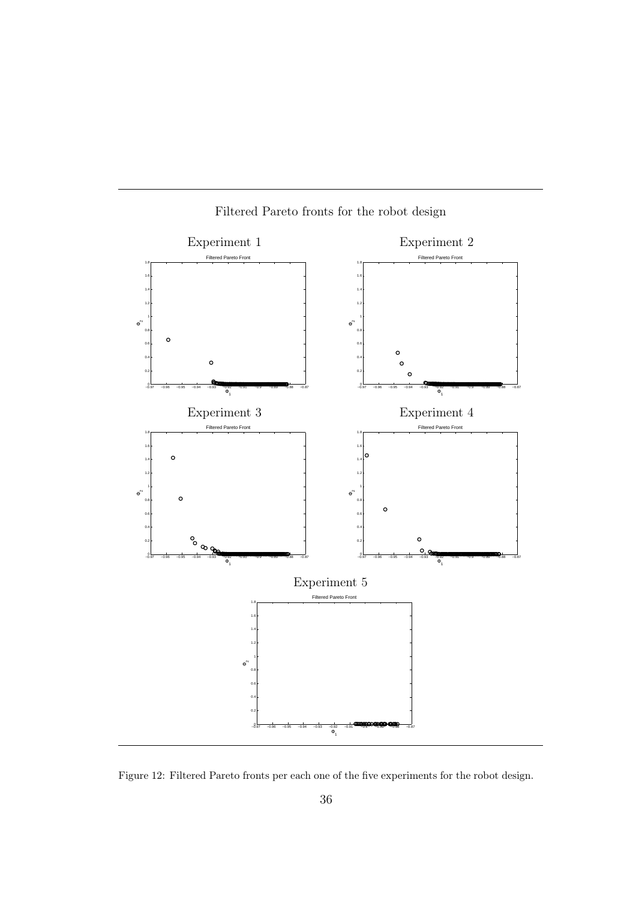

Filtered Pareto fronts for the robot design

Figure 12: Filtered Pareto fronts per each one of the five experiments for the robot design.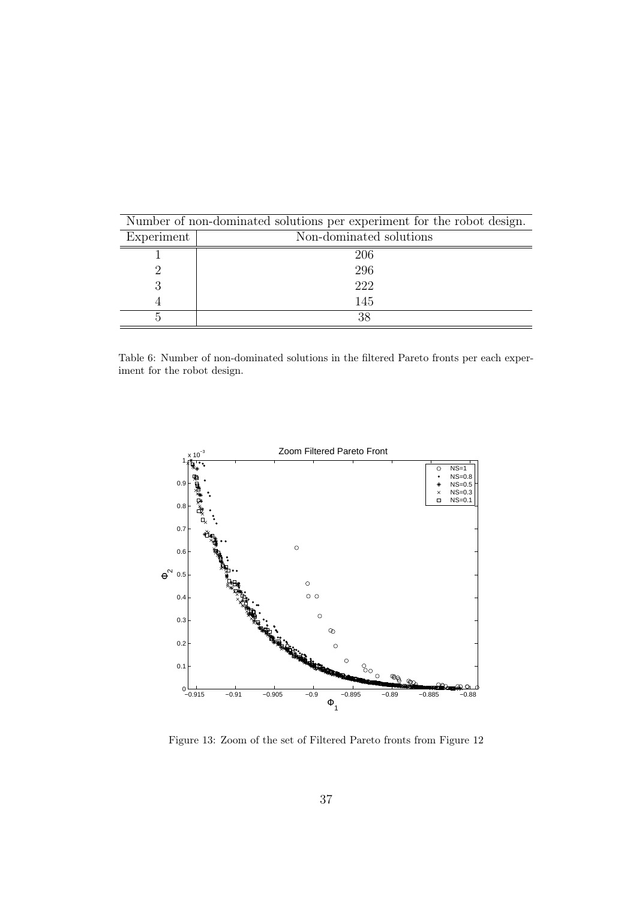| Number of non-dominated solutions per experiment for the robot design. |                         |  |
|------------------------------------------------------------------------|-------------------------|--|
| Experiment                                                             | Non-dominated solutions |  |
|                                                                        | 206                     |  |
|                                                                        | 296                     |  |
|                                                                        | 222                     |  |
|                                                                        | 145                     |  |
|                                                                        | 38                      |  |

Table 6: Number of non-dominated solutions in the filtered Pareto fronts per each experiment for the robot design.



Figure 13: Zoom of the set of Filtered Pareto fronts from Figure 12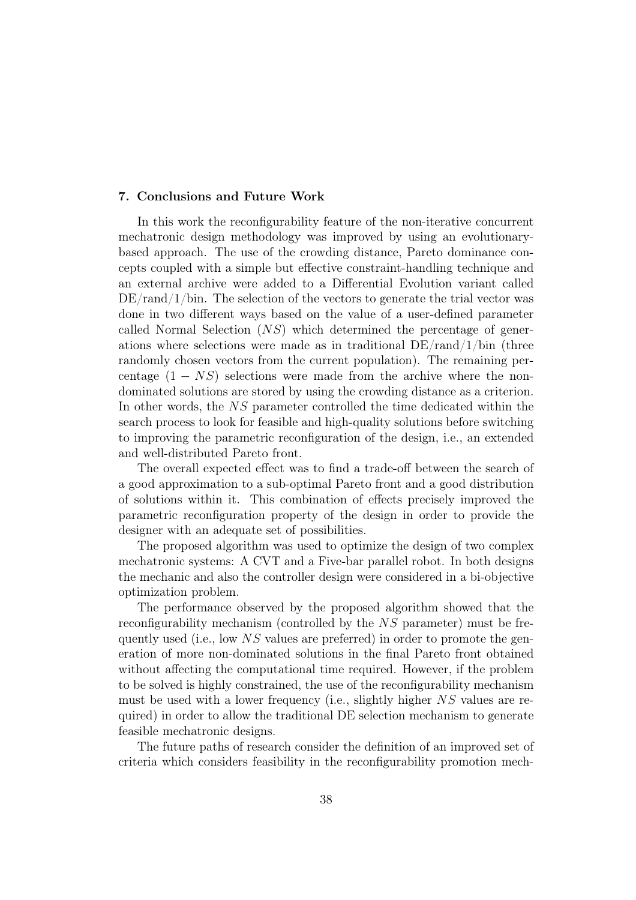## 7. Conclusions and Future Work

In this work the reconfigurability feature of the non-iterative concurrent mechatronic design methodology was improved by using an evolutionarybased approach. The use of the crowding distance, Pareto dominance concepts coupled with a simple but effective constraint-handling technique and an external archive were added to a Differential Evolution variant called  $DE/rand/1/b$ in. The selection of the vectors to generate the trial vector was done in two different ways based on the value of a user-defined parameter called Normal Selection  $(NS)$  which determined the percentage of generations where selections were made as in traditional DE/rand/1/bin (three randomly chosen vectors from the current population). The remaining percentage  $(1 - NS)$  selections were made from the archive where the nondominated solutions are stored by using the crowding distance as a criterion. In other words, the NS parameter controlled the time dedicated within the search process to look for feasible and high-quality solutions before switching to improving the parametric reconfiguration of the design, i.e., an extended and well-distributed Pareto front.

The overall expected effect was to find a trade-off between the search of a good approximation to a sub-optimal Pareto front and a good distribution of solutions within it. This combination of effects precisely improved the parametric reconfiguration property of the design in order to provide the designer with an adequate set of possibilities.

The proposed algorithm was used to optimize the design of two complex mechatronic systems: A CVT and a Five-bar parallel robot. In both designs the mechanic and also the controller design were considered in a bi-objective optimization problem.

The performance observed by the proposed algorithm showed that the reconfigurability mechanism (controlled by the NS parameter) must be frequently used (i.e., low  $NS$  values are preferred) in order to promote the generation of more non-dominated solutions in the final Pareto front obtained without affecting the computational time required. However, if the problem to be solved is highly constrained, the use of the reconfigurability mechanism must be used with a lower frequency (i.e., slightly higher NS values are required) in order to allow the traditional DE selection mechanism to generate feasible mechatronic designs.

The future paths of research consider the definition of an improved set of criteria which considers feasibility in the reconfigurability promotion mech-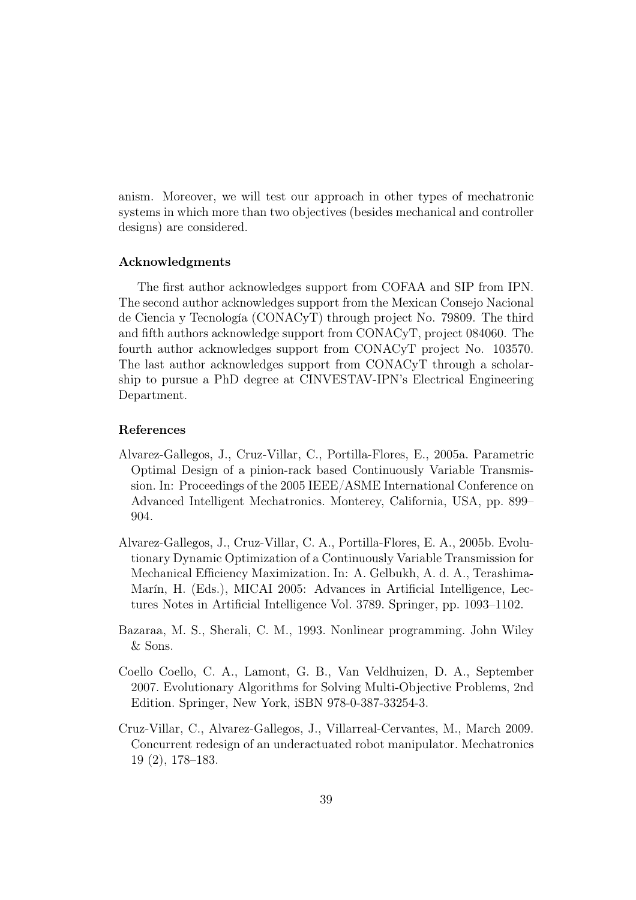anism. Moreover, we will test our approach in other types of mechatronic systems in which more than two objectives (besides mechanical and controller designs) are considered.

## Acknowledgments

The first author acknowledges support from COFAA and SIP from IPN. The second author acknowledges support from the Mexican Consejo Nacional de Ciencia y Tecnología (CONACyT) through project No. 79809. The third and fifth authors acknowledge support from CONACyT, project 084060. The fourth author acknowledges support from CONACyT project No. 103570. The last author acknowledges support from CONACyT through a scholarship to pursue a PhD degree at CINVESTAV-IPN's Electrical Engineering Department.

# References

- Alvarez-Gallegos, J., Cruz-Villar, C., Portilla-Flores, E., 2005a. Parametric Optimal Design of a pinion-rack based Continuously Variable Transmission. In: Proceedings of the 2005 IEEE/ASME International Conference on Advanced Intelligent Mechatronics. Monterey, California, USA, pp. 899– 904.
- Alvarez-Gallegos, J., Cruz-Villar, C. A., Portilla-Flores, E. A., 2005b. Evolutionary Dynamic Optimization of a Continuously Variable Transmission for Mechanical Efficiency Maximization. In: A. Gelbukh, A. d. A., Terashima-Marín, H. (Eds.), MICAI 2005: Advances in Artificial Intelligence, Lectures Notes in Artificial Intelligence Vol. 3789. Springer, pp. 1093–1102.
- Bazaraa, M. S., Sherali, C. M., 1993. Nonlinear programming. John Wiley & Sons.
- Coello Coello, C. A., Lamont, G. B., Van Veldhuizen, D. A., September 2007. Evolutionary Algorithms for Solving Multi-Objective Problems, 2nd Edition. Springer, New York, iSBN 978-0-387-33254-3.
- Cruz-Villar, C., Alvarez-Gallegos, J., Villarreal-Cervantes, M., March 2009. Concurrent redesign of an underactuated robot manipulator. Mechatronics 19 (2), 178–183.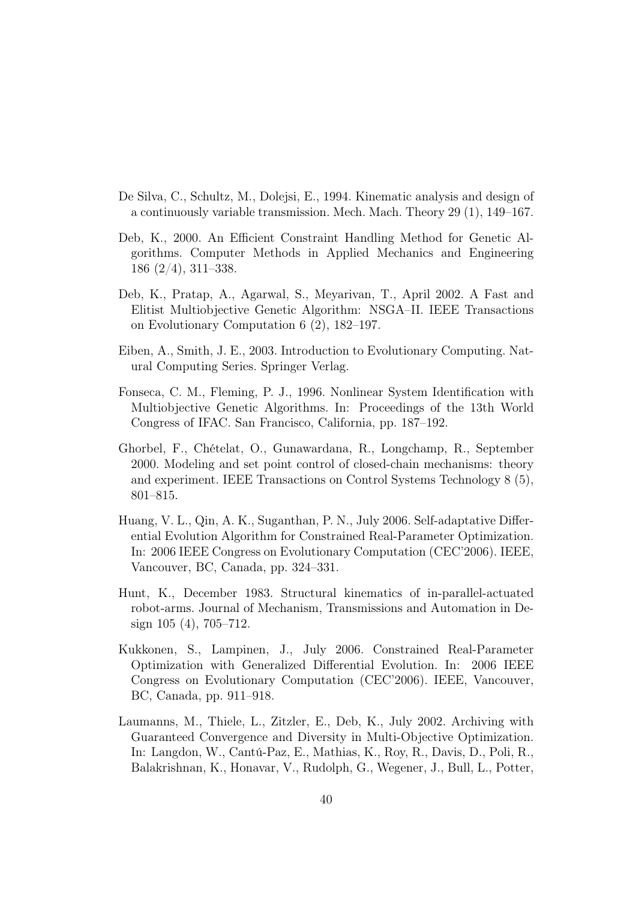- De Silva, C., Schultz, M., Dolejsi, E., 1994. Kinematic analysis and design of a continuously variable transmission. Mech. Mach. Theory 29 (1), 149–167.
- Deb, K., 2000. An Efficient Constraint Handling Method for Genetic Algorithms. Computer Methods in Applied Mechanics and Engineering 186 (2/4), 311–338.
- Deb, K., Pratap, A., Agarwal, S., Meyarivan, T., April 2002. A Fast and Elitist Multiobjective Genetic Algorithm: NSGA–II. IEEE Transactions on Evolutionary Computation 6 (2), 182–197.
- Eiben, A., Smith, J. E., 2003. Introduction to Evolutionary Computing. Natural Computing Series. Springer Verlag.
- Fonseca, C. M., Fleming, P. J., 1996. Nonlinear System Identification with Multiobjective Genetic Algorithms. In: Proceedings of the 13th World Congress of IFAC. San Francisco, California, pp. 187–192.
- Ghorbel, F., Chételat, O., Gunawardana, R., Longchamp, R., September 2000. Modeling and set point control of closed-chain mechanisms: theory and experiment. IEEE Transactions on Control Systems Technology 8 (5), 801–815.
- Huang, V. L., Qin, A. K., Suganthan, P. N., July 2006. Self-adaptative Differential Evolution Algorithm for Constrained Real-Parameter Optimization. In: 2006 IEEE Congress on Evolutionary Computation (CEC'2006). IEEE, Vancouver, BC, Canada, pp. 324–331.
- Hunt, K., December 1983. Structural kinematics of in-parallel-actuated robot-arms. Journal of Mechanism, Transmissions and Automation in Design 105 (4), 705–712.
- Kukkonen, S., Lampinen, J., July 2006. Constrained Real-Parameter Optimization with Generalized Differential Evolution. In: 2006 IEEE Congress on Evolutionary Computation (CEC'2006). IEEE, Vancouver, BC, Canada, pp. 911–918.
- Laumanns, M., Thiele, L., Zitzler, E., Deb, K., July 2002. Archiving with Guaranteed Convergence and Diversity in Multi-Objective Optimization. In: Langdon, W., Cantú-Paz, E., Mathias, K., Roy, R., Davis, D., Poli, R., Balakrishnan, K., Honavar, V., Rudolph, G., Wegener, J., Bull, L., Potter,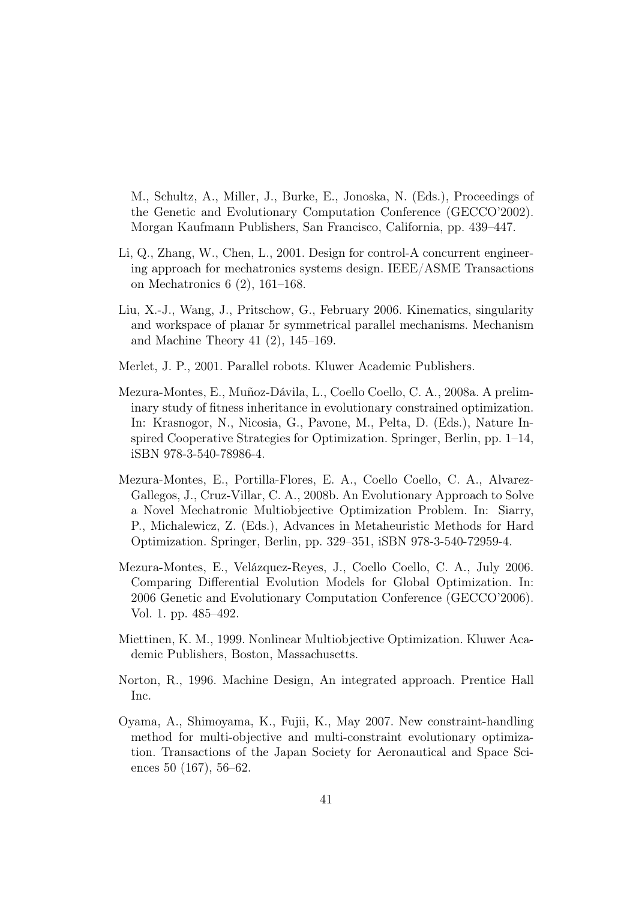M., Schultz, A., Miller, J., Burke, E., Jonoska, N. (Eds.), Proceedings of the Genetic and Evolutionary Computation Conference (GECCO'2002). Morgan Kaufmann Publishers, San Francisco, California, pp. 439–447.

- Li, Q., Zhang, W., Chen, L., 2001. Design for control-A concurrent engineering approach for mechatronics systems design. IEEE/ASME Transactions on Mechatronics 6 (2), 161–168.
- Liu, X.-J., Wang, J., Pritschow, G., February 2006. Kinematics, singularity and workspace of planar 5r symmetrical parallel mechanisms. Mechanism and Machine Theory 41 (2), 145–169.
- Merlet, J. P., 2001. Parallel robots. Kluwer Academic Publishers.
- Mezura-Montes, E., Muñoz-Dávila, L., Coello Coello, C. A., 2008a. A preliminary study of fitness inheritance in evolutionary constrained optimization. In: Krasnogor, N., Nicosia, G., Pavone, M., Pelta, D. (Eds.), Nature Inspired Cooperative Strategies for Optimization. Springer, Berlin, pp. 1–14, iSBN 978-3-540-78986-4.
- Mezura-Montes, E., Portilla-Flores, E. A., Coello Coello, C. A., Alvarez-Gallegos, J., Cruz-Villar, C. A., 2008b. An Evolutionary Approach to Solve a Novel Mechatronic Multiobjective Optimization Problem. In: Siarry, P., Michalewicz, Z. (Eds.), Advances in Metaheuristic Methods for Hard Optimization. Springer, Berlin, pp. 329–351, iSBN 978-3-540-72959-4.
- Mezura-Montes, E., Velázquez-Reyes, J., Coello Coello, C. A., July 2006. Comparing Differential Evolution Models for Global Optimization. In: 2006 Genetic and Evolutionary Computation Conference (GECCO'2006). Vol. 1. pp. 485–492.
- Miettinen, K. M., 1999. Nonlinear Multiobjective Optimization. Kluwer Academic Publishers, Boston, Massachusetts.
- Norton, R., 1996. Machine Design, An integrated approach. Prentice Hall Inc.
- Oyama, A., Shimoyama, K., Fujii, K., May 2007. New constraint-handling method for multi-objective and multi-constraint evolutionary optimization. Transactions of the Japan Society for Aeronautical and Space Sciences 50 (167), 56–62.